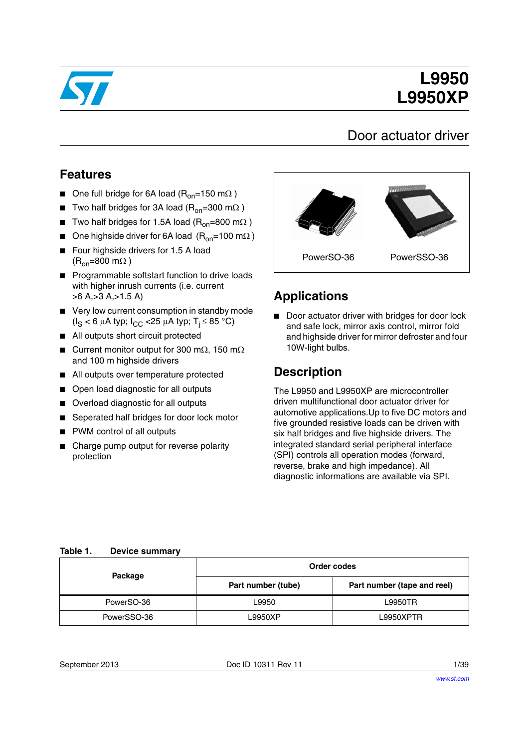

# **L9950 L9950XP**

## Door actuator driver

## **Features**

- One full bridge for 6A load ( $R_{on}$ =150 m $\Omega$ )
- Two half bridges for 3A load ( $R_{on}$ =300 m $\Omega$ )
- Two half bridges for 1.5A load ( $R_{on}$ =800 m $\Omega$ )
- One highside driver for 6A load  $(R_{on}=100 \text{ m}\Omega)$
- Four highside drivers for 1.5 A load  $(R_{\text{on}}=800 \text{ m}\Omega)$
- Programmable softstart function to drive loads with higher inrush currents (i.e. current >6 A,>3 A,>1.5 A)
- Very low current consumption in standby mode  $(I_S < 6 \mu A$  typ;  $I_{CC} < 25 \mu A$  typ;  $T_i \leq 85 \text{ }^{\circ}\text{C}$ )
- All outputs short circuit protected
- Current monitor output for 300 m $\Omega$ , 150 m $\Omega$ and 100 m highside drivers
- All outputs over temperature protected
- Open load diagnostic for all outputs
- Overload diagnostic for all outputs
- Seperated half bridges for door lock motor
- PWM control of all outputs
- Charge pump output for reverse polarity protection



## **Applications**

■ Door actuator driver with bridges for door lock and safe lock, mirror axis control, mirror fold and highside driver for mirror defroster and four 10W-light bulbs.

### **Description**

The L9950 and L9950XP are microcontroller driven multifunctional door actuator driver for automotive applications.Up to five DC motors and five grounded resistive loads can be driven with six half bridges and five highside drivers. The integrated standard serial peripheral interface (SPI) controls all operation modes (forward, reverse, brake and high impedance). All diagnostic informations are available via SPI.

#### <span id="page-0-0"></span>**Table 1. Device summary**

| Package     | Order codes        |                             |  |
|-------------|--------------------|-----------------------------|--|
|             | Part number (tube) | Part number (tape and reel) |  |
| PowerSO-36  | L9950              | L9950TR                     |  |
| PowerSSO-36 | L9950XP            | L9950XPTR                   |  |

September 2013 **Doc ID 10311 Rev 11** 2013 **Doc ID 10311 Rev 11**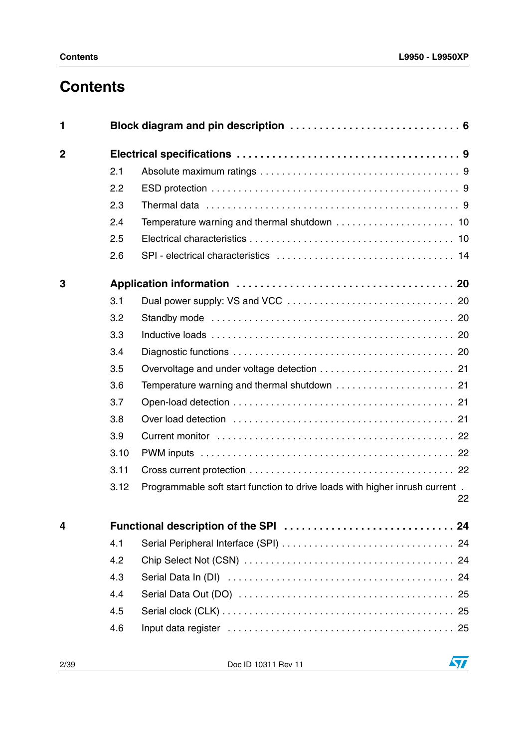# **Contents**

| 1              |      |                                                                             |    |
|----------------|------|-----------------------------------------------------------------------------|----|
| $\overline{2}$ |      |                                                                             |    |
|                | 2.1  |                                                                             |    |
|                | 2.2  |                                                                             |    |
|                | 2.3  |                                                                             |    |
|                | 2.4  |                                                                             |    |
|                | 2.5  |                                                                             |    |
|                | 2.6  |                                                                             |    |
| 3              |      |                                                                             |    |
|                | 3.1  |                                                                             |    |
|                | 3.2  |                                                                             |    |
|                | 3.3  |                                                                             |    |
|                | 3.4  |                                                                             |    |
|                | 3.5  |                                                                             |    |
|                | 3.6  |                                                                             |    |
|                | 3.7  |                                                                             |    |
|                | 3.8  |                                                                             |    |
|                | 3.9  |                                                                             |    |
|                | 3.10 |                                                                             |    |
|                | 3.11 |                                                                             |    |
|                | 3.12 | Programmable soft start function to drive loads with higher inrush current. | 22 |
| 4              |      |                                                                             |    |
|                | 4.1  |                                                                             |    |
|                | 4.2  |                                                                             |    |
|                | 4.3  |                                                                             |    |
|                | 4.4  |                                                                             |    |
|                | 4.5  |                                                                             |    |
|                | 4.6  |                                                                             |    |

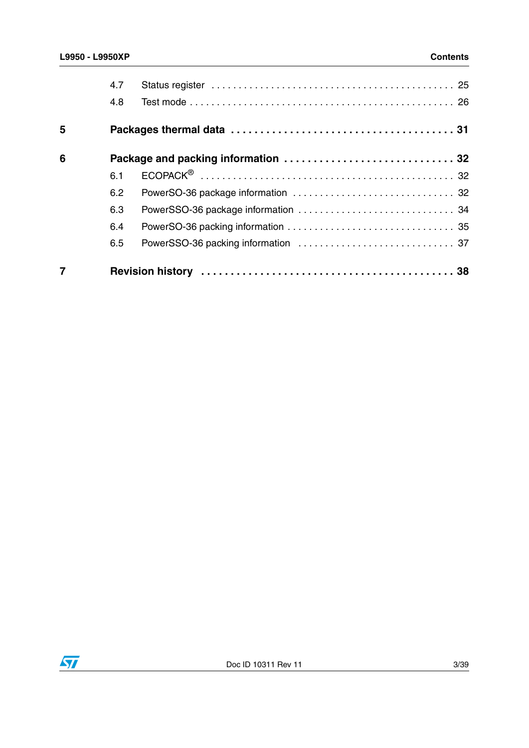|   | 4.7 |  |
|---|-----|--|
|   | 4.8 |  |
| 5 |     |  |
| 6 |     |  |
|   | 6.1 |  |
|   | 6.2 |  |
|   | 6.3 |  |
|   | 6.4 |  |
|   | 6.5 |  |
|   |     |  |

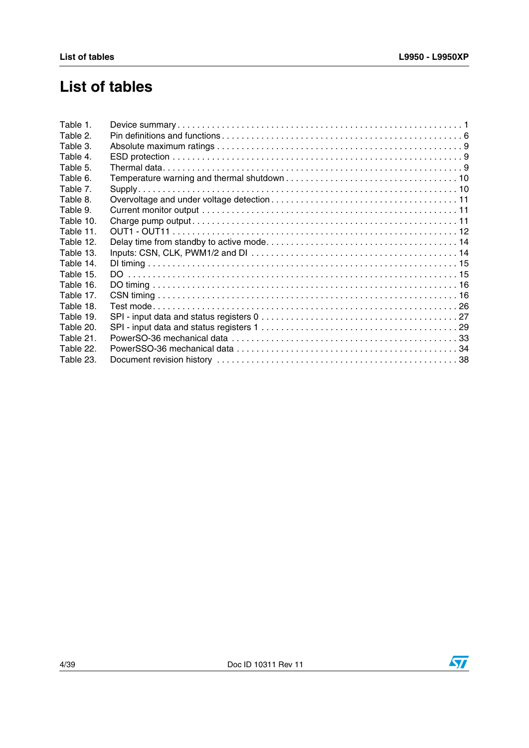# **List of tables**

| Table 1.  |  |
|-----------|--|
| Table 2.  |  |
| Table 3.  |  |
| Table 4.  |  |
| Table 5.  |  |
| Table 6.  |  |
| Table 7.  |  |
| Table 8.  |  |
| Table 9.  |  |
| Table 10. |  |
| Table 11. |  |
| Table 12. |  |
| Table 13. |  |
| Table 14. |  |
| Table 15. |  |
| Table 16. |  |
| Table 17. |  |
| Table 18. |  |
| Table 19. |  |
| Table 20. |  |
| Table 21. |  |
| Table 22. |  |
| Table 23. |  |
|           |  |

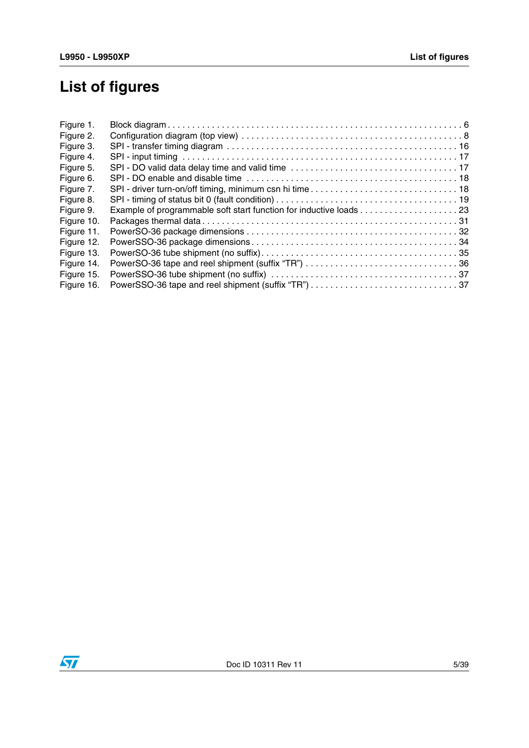# **List of figures**

| Figure 1.  |  |
|------------|--|
| Figure 2.  |  |
| Figure 3.  |  |
| Figure 4.  |  |
| Figure 5.  |  |
| Figure 6.  |  |
| Figure 7.  |  |
| Figure 8.  |  |
| Figure 9.  |  |
| Figure 10. |  |
| Figure 11. |  |
| Figure 12. |  |
| Figure 13. |  |
| Figure 14. |  |
| Figure 15. |  |
| Figure 16. |  |
|            |  |

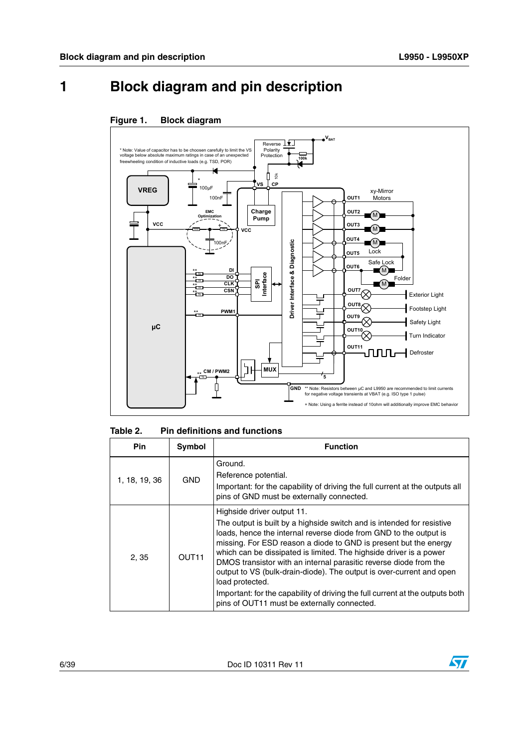# <span id="page-5-0"></span>**1 Block diagram and pin description**

#### <span id="page-5-2"></span>**Figure 1. Block diagram**



<span id="page-5-1"></span>

| Table 2. | <b>Pin definitions and functions</b> |  |
|----------|--------------------------------------|--|
|----------|--------------------------------------|--|

| <b>Pin</b>    | Symbol            | <b>Function</b>                                                                                                                                                                                                                                                                                                                                                                                                                                                                                                                                                                                                     |
|---------------|-------------------|---------------------------------------------------------------------------------------------------------------------------------------------------------------------------------------------------------------------------------------------------------------------------------------------------------------------------------------------------------------------------------------------------------------------------------------------------------------------------------------------------------------------------------------------------------------------------------------------------------------------|
| 1, 18, 19, 36 | <b>GND</b>        | Ground.<br>Reference potential.<br>Important: for the capability of driving the full current at the outputs all<br>pins of GND must be externally connected.                                                                                                                                                                                                                                                                                                                                                                                                                                                        |
| 2, 35         | OUT <sub>11</sub> | Highside driver output 11.<br>The output is built by a highside switch and is intended for resistive<br>loads, hence the internal reverse diode from GND to the output is<br>missing. For ESD reason a diode to GND is present but the energy<br>which can be dissipated is limited. The highside driver is a power<br>DMOS transistor with an internal parasitic reverse diode from the<br>output to VS (bulk-drain-diode). The output is over-current and open<br>load protected.<br>Important: for the capability of driving the full current at the outputs both<br>pins of OUT11 must be externally connected. |

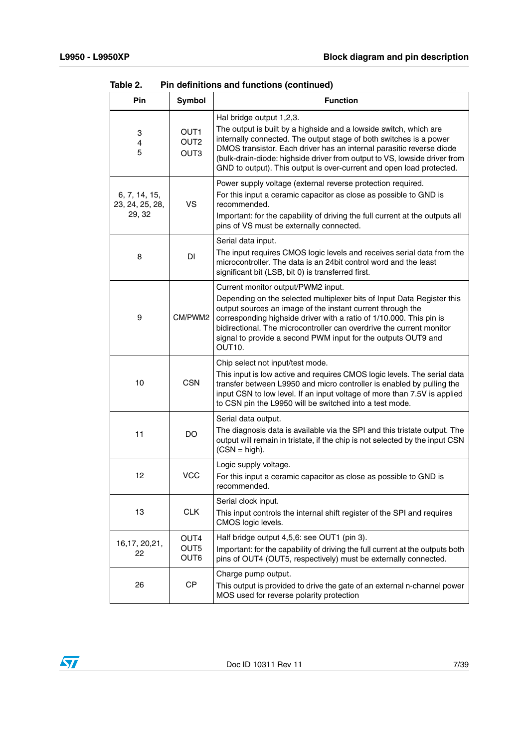| Pin                                        | Symbol                                                   | <b>Function</b>                                                                                                                                                                                                                                                                                                                                                                                                 |
|--------------------------------------------|----------------------------------------------------------|-----------------------------------------------------------------------------------------------------------------------------------------------------------------------------------------------------------------------------------------------------------------------------------------------------------------------------------------------------------------------------------------------------------------|
| 3<br>4<br>5                                | OUT <sub>1</sub><br>OUT <sub>2</sub><br>OUT <sub>3</sub> | Hal bridge output 1,2,3.<br>The output is built by a highside and a lowside switch, which are<br>internally connected. The output stage of both switches is a power<br>DMOS transistor. Each driver has an internal parasitic reverse diode<br>(bulk-drain-diode: highside driver from output to VS, lowside driver from<br>GND to output). This output is over-current and open load protected.                |
| 6, 7, 14, 15,<br>23, 24, 25, 28,<br>29, 32 | VS.                                                      | Power supply voltage (external reverse protection required.<br>For this input a ceramic capacitor as close as possible to GND is<br>recommended.<br>Important: for the capability of driving the full current at the outputs all<br>pins of VS must be externally connected.                                                                                                                                    |
| 8                                          | <b>DI</b>                                                | Serial data input.<br>The input requires CMOS logic levels and receives serial data from the<br>microcontroller. The data is an 24bit control word and the least<br>significant bit (LSB, bit 0) is transferred first.                                                                                                                                                                                          |
| 9                                          | CM/PWM2                                                  | Current monitor output/PWM2 input.<br>Depending on the selected multiplexer bits of Input Data Register this<br>output sources an image of the instant current through the<br>corresponding highside driver with a ratio of 1/10.000. This pin is<br>bidirectional. The microcontroller can overdrive the current monitor<br>signal to provide a second PWM input for the outputs OUT9 and<br>OUT <sub>10</sub> |
| 10                                         | <b>CSN</b>                                               | Chip select not input/test mode.<br>This input is low active and requires CMOS logic levels. The serial data<br>transfer between L9950 and micro controller is enabled by pulling the<br>input CSN to low level. If an input voltage of more than 7.5V is applied<br>to CSN pin the L9950 will be switched into a test mode.                                                                                    |
| 11                                         | DO                                                       | Serial data output.<br>The diagnosis data is available via the SPI and this tristate output. The<br>output will remain in tristate, if the chip is not selected by the input CSN<br>$(CSN = high)$ .                                                                                                                                                                                                            |
| 12                                         | <b>VCC</b>                                               | Logic supply voltage.<br>For this input a ceramic capacitor as close as possible to GND is<br>recommended.                                                                                                                                                                                                                                                                                                      |
| 13                                         | <b>CLK</b>                                               | Serial clock input.<br>This input controls the internal shift register of the SPI and requires<br>CMOS logic levels.                                                                                                                                                                                                                                                                                            |
| 16,17, 20,21,<br>22                        | OUT4<br>OUT5<br>OUT6                                     | Half bridge output 4,5,6: see OUT1 (pin 3).<br>Important: for the capability of driving the full current at the outputs both<br>pins of OUT4 (OUT5, respectively) must be externally connected.                                                                                                                                                                                                                 |
| 26                                         | CP                                                       | Charge pump output.<br>This output is provided to drive the gate of an external n-channel power<br>MOS used for reverse polarity protection                                                                                                                                                                                                                                                                     |

**Table 2. Pin definitions and functions (continued)**

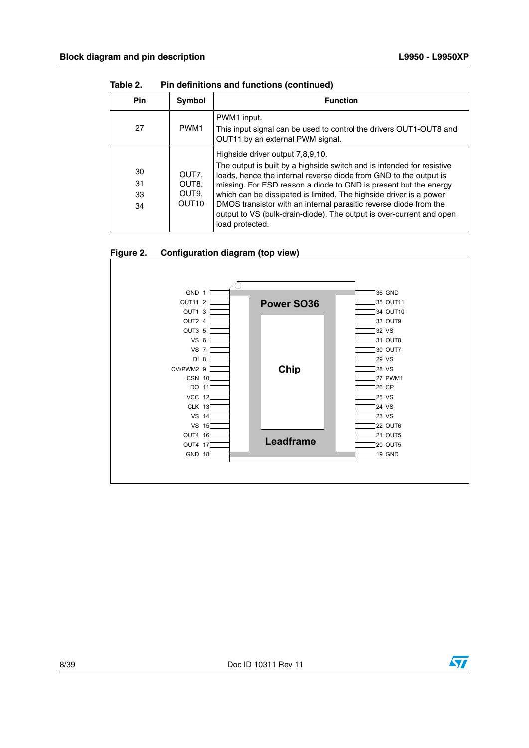| <b>Pin</b>           | Symbol                                                  | <b>Function</b>                                                                                                                                                                                                                                                                                                                                                                                                                                                                           |
|----------------------|---------------------------------------------------------|-------------------------------------------------------------------------------------------------------------------------------------------------------------------------------------------------------------------------------------------------------------------------------------------------------------------------------------------------------------------------------------------------------------------------------------------------------------------------------------------|
| 27                   | PWM <sub>1</sub>                                        | PWM1 input.<br>This input signal can be used to control the drivers OUT1-OUT8 and<br>OUT11 by an external PWM signal.                                                                                                                                                                                                                                                                                                                                                                     |
| 30<br>31<br>33<br>34 | OUT7.<br>OUT8.<br>OUT <sub>9</sub><br>OUT <sub>10</sub> | Highside driver output 7,8,9,10.<br>The output is built by a highside switch and is intended for resistive<br>loads, hence the internal reverse diode from GND to the output is<br>missing. For ESD reason a diode to GND is present but the energy<br>which can be dissipated is limited. The highside driver is a power<br>DMOS transistor with an internal parasitic reverse diode from the<br>output to VS (bulk-drain-diode). The output is over-current and open<br>load protected. |

**Table 2. Pin definitions and functions (continued)**

#### <span id="page-7-0"></span>**Figure 2. Configuration diagram (top view)**



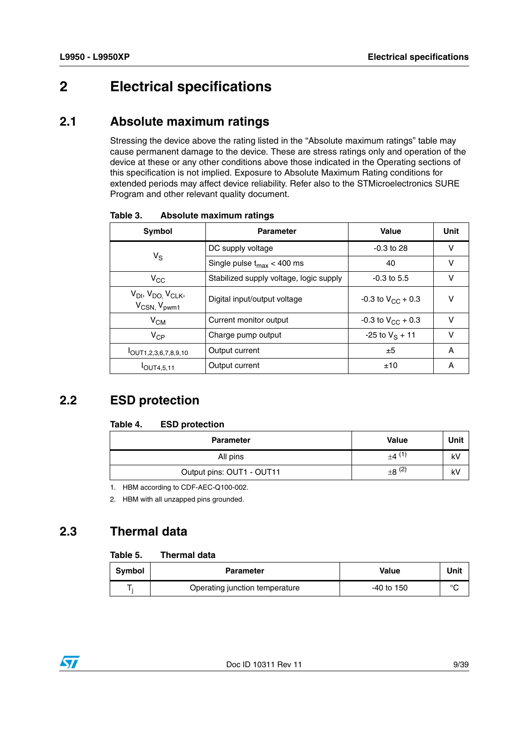## <span id="page-8-0"></span>**2 Electrical specifications**

#### <span id="page-8-1"></span>**2.1 Absolute maximum ratings**

Stressing the device above the rating listed in the "Absolute maximum ratings" table may cause permanent damage to the device. These are stress ratings only and operation of the device at these or any other conditions above those indicated in the Operating sections of this specification is not implied. Exposure to Absolute Maximum Rating conditions for extended periods may affect device reliability. Refer also to the STMicroelectronics SURE Program and other relevant quality document.

| <b>Symbol</b>                                                                   | <b>Parameter</b>                        | Value                        | Unit |
|---------------------------------------------------------------------------------|-----------------------------------------|------------------------------|------|
|                                                                                 | DC supply voltage                       | $-0.3$ to 28                 | v    |
| $V_{\rm S}$                                                                     | Single pulse $t_{\text{max}}$ < 400 ms  | 40                           | v    |
| $V_{\rm CC}$                                                                    | Stabilized supply voltage, logic supply | $-0.3$ to 5.5                | v    |
| V <sub>DI</sub> , V <sub>DO,</sub> V <sub>CLK</sub> ,<br>$V_{CSN}$ , $V_{pwm1}$ | Digital input/output voltage            | $-0.3$ to $V_{\rm CC}$ + 0.3 | v    |
| $V_{CM}$                                                                        | Current monitor output                  | $-0.3$ to $V_{CC}$ + 0.3     | ν    |
| $V_{CP}$                                                                        | Charge pump output                      | $-25$ to $V_S + 11$          | v    |
| $I$ OUT1,2,3,6,7,8,9,10                                                         | Output current                          | ±5                           | A    |
| $I$ OUT4,5,11                                                                   | Output current                          | ±10                          | А    |

<span id="page-8-4"></span>Table 3. **Absolute maximum ratings** 

### <span id="page-8-2"></span>**2.2 ESD protection**

#### <span id="page-8-5"></span>Table 4. **ESD protection**

| <b>Parameter</b>          | <b>Value</b>           | Unit |
|---------------------------|------------------------|------|
| All pins                  | $+4$ (1)               | kV   |
| Output pins: OUT1 - OUT11 | $\pm 8$ <sup>(2)</sup> | kV   |

1. HBM according to CDF-AEC-Q100-002.

2. HBM with all unzapped pins grounded.

## <span id="page-8-3"></span>**2.3 Thermal data**

#### <span id="page-8-6"></span>Table 5. **Thermal data**

| <b>Symbol</b> | <b>Parameter</b>               | Value        | Unit   |
|---------------|--------------------------------|--------------|--------|
|               | Operating junction temperature | $-40$ to 150 | $\sim$ |

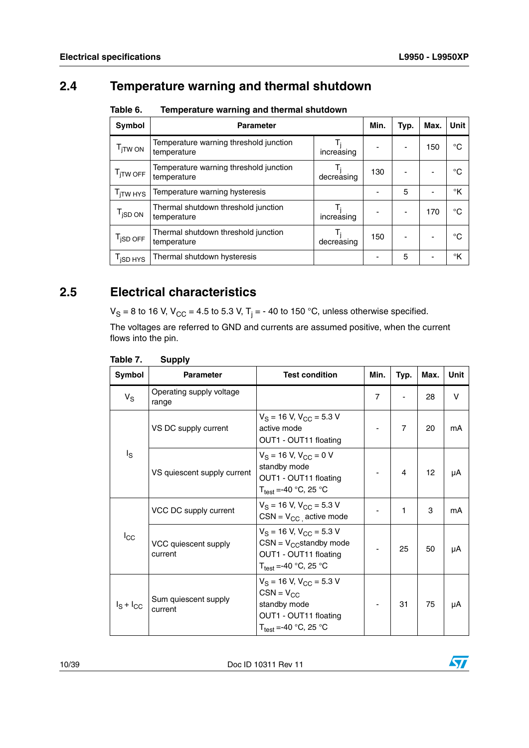# <span id="page-9-0"></span>**2.4 Temperature warning and thermal shutdown**

| <b>Symbol</b>          | <b>Parameter</b>                                      |            | Min. | Typ. | Max. | <b>Unit</b> |
|------------------------|-------------------------------------------------------|------------|------|------|------|-------------|
| $I_{\parallel}$ TW ON  | Temperature warning threshold junction<br>temperature | increasing |      |      | 150  | °C          |
| $T_{\text{jTW OFF}}$   | Temperature warning threshold junction<br>temperature | decreasing | 130  |      |      | °C          |
| T <sub>ITW HYS</sub>   | Temperature warning hysteresis                        |            |      | 5    |      | °K          |
| $I$ <sub>i</sub> SD ON | Thermal shutdown threshold junction<br>temperature    | increasing |      |      | 170  | °C          |
| T <sub>jSD OFF</sub>   | Thermal shutdown threshold junction<br>temperature    | decreasing | 150  |      |      | °C          |
| I <sub>I</sub> SD HYS  | Thermal shutdown hysteresis                           |            |      | 5    |      | °K          |

<span id="page-9-2"></span>Table 6. **Table 6. Temperature warning and thermal shutdown**

## <span id="page-9-1"></span>**2.5 Electrical characteristics**

V<sub>S</sub> = 8 to 16 V, V<sub>CC</sub> = 4.5 to 5.3 V, T<sub>j</sub> = - 40 to 150 °C, unless otherwise specified.

The voltages are referred to GND and currents are assumed positive, when the current flows into the pin.

| Symbol         | <b>Parameter</b>                  | <b>Test condition</b>                                                                                                         | Min.           | Typ. | Max. | Unit   |
|----------------|-----------------------------------|-------------------------------------------------------------------------------------------------------------------------------|----------------|------|------|--------|
| $V_S$          | Operating supply voltage<br>range |                                                                                                                               | $\overline{7}$ |      | 28   | $\vee$ |
| $I_{\rm S}$    | VS DC supply current              | $V_S = 16$ V, $V_{CC} = 5.3$ V<br>active mode<br>OUT1 - OUT11 floating                                                        |                | 7    | 20   | mA     |
|                | VS quiescent supply current       | $V_S = 16$ V, $V_{CC} = 0$ V<br>standby mode<br>OUT1 - OUT11 floating<br>$T_{\text{test}} = -40$ °C, 25 °C                    |                | 4    | 12   | μA     |
| $I_{\rm CC}$   | VCC DC supply current             | $V_S$ = 16 V, $V_{CC}$ = 5.3 V<br>$CSN = V_{CC}$ active mode                                                                  |                | 1    | 3    | mA     |
|                | VCC quiescent supply<br>current   | $V_S$ = 16 V, $V_{CC}$ = 5.3 V<br>$CSN = V_{CC}$ standby mode<br>OUT1 - OUT11 floating<br>$T_{\text{test}} = -40$ °C, 25 °C   |                | 25   | 50   | μA     |
| $I_S + I_{CC}$ | Sum quiescent supply<br>current   | $V_S$ = 16 V, $V_{CC}$ = 5.3 V<br>$CSN = V_{CC}$<br>standby mode<br>OUT1 - OUT11 floating<br>$T_{\text{test}}$ =-40 °C, 25 °C |                | 31   | 75   | μA     |

#### <span id="page-9-3"></span>**Table 7. Supply**

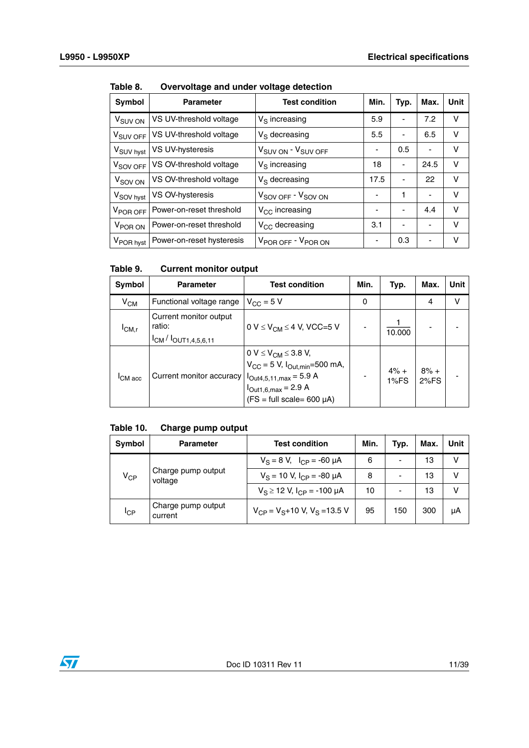| <b>Symbol</b>         | <b>Parameter</b>          | <b>Test condition</b>                      | Min.                     | Typ. | Max. | Unit |
|-----------------------|---------------------------|--------------------------------------------|--------------------------|------|------|------|
| V <sub>SUV ON</sub>   | VS UV-threshold voltage   | $V_S$ increasing                           | 5.9                      | -    | 7.2  | v    |
| V <sub>SUV OFF</sub>  | VS UV-threshold voltage   | $V_S$ decreasing                           | 5.5                      | -    | 6.5  | v    |
| V <sub>SUV hyst</sub> | VS UV-hysteresis          | V <sub>SUV ON</sub> - V <sub>SUV OFF</sub> | $\overline{\phantom{a}}$ | 0.5  | ٠    | v    |
| V <sub>SOV OFF</sub>  | VS OV-threshold voltage   | $V_S$ increasing                           | 18                       | -    | 24.5 | v    |
| V <sub>SOV ON</sub>   | VS OV-threshold voltage   | $V_S$ decreasing                           | 17.5                     | -    | 22   | V    |
| V <sub>SOV hyst</sub> | VS OV-hysteresis          | V <sub>SOV OFF</sub> - V <sub>SOV ON</sub> | -                        | 1    | ٠    | v    |
| V <sub>POR OFF</sub>  | Power-on-reset threshold  | $V_{CC}$ increasing                        | -                        | -    | 4.4  | V    |
| V <sub>POR ON</sub>   | Power-on-reset threshold  | $V_{CC}$ decreasing                        | 3.1                      | -    | ۰    | V    |
| V <sub>POR hyst</sub> | Power-on-reset hysteresis | V <sub>POR OFF</sub> - V <sub>POR ON</sub> | -                        | 0.3  | ٠    | v    |

<span id="page-10-0"></span>Table 8. **Table 8. Overvoltage and under voltage detection**

#### <span id="page-10-1"></span>Table 9. **Current monitor output**

| Symbol              | <b>Parameter</b>                                                     | <b>Test condition</b>                                                                                                                             | Min. | Typ.           | Max.           | <b>Unit</b> |
|---------------------|----------------------------------------------------------------------|---------------------------------------------------------------------------------------------------------------------------------------------------|------|----------------|----------------|-------------|
| $V_{CM}$            | Functional voltage range                                             | $V_{CC} = 5 V$                                                                                                                                    | 0    |                | 4              | ν           |
| ICM,r               | Current monitor output<br>ratio:<br>$I_{CM}$ / $I_{OUT1,4,5,6,11}$   | 0 V $\leq$ V <sub>CM</sub> $\leq$ 4 V, VCC=5 V                                                                                                    |      | 10.000         |                |             |
| <sup>I</sup> CM acc | Current monitor accuracy $ I_{\text{Out4,5,11,max}} = 5.9 \text{ A}$ | 0 V $\leq$ V <sub>CM</sub> $\leq$ 3.8 V,<br>$V_{CC}$ = 5 V, $I_{Out.min}$ =500 mA,<br>$I_{Out1,6,max} = 2.9 A$<br>$(FS = full scale = 600 \mu A)$ |      | $4% +$<br>1%FS | $8% +$<br>2%FS |             |

#### <span id="page-10-2"></span>**Table 10. Charge pump output**

| Symbol          | Parameter                     | <b>Test condition</b>                       | Min. | Typ.                     | Max. | Unit |
|-----------------|-------------------------------|---------------------------------------------|------|--------------------------|------|------|
| $V_{CP}$        | Charge pump output<br>voltage | $V_S = 8 V$ , $I_{CP} = -60 \mu A$          | 6    | $\overline{\phantom{0}}$ | 13   | v    |
|                 |                               | $V_S = 10$ V, $I_{CP} = -80$ $\mu$ A        | 8    |                          | 13   | v    |
|                 |                               | $V_S \ge 12$ V, $I_{CP} = -100$ µA          | 10   | $\overline{\phantom{0}}$ | 13   | v    |
| <sup>I</sup> CP | Charge pump output<br>current | $V_{CP}$ = $V_{S}$ + 10 V, $V_{S}$ = 13.5 V | 95   | 150                      | 300  | μA   |

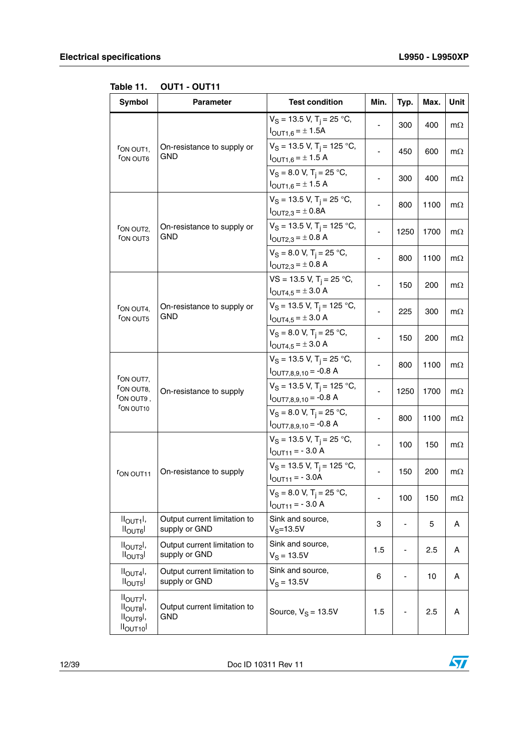| <b>Symbol</b>                                                          | <b>Parameter</b>                              | <b>Test condition</b>                                                                 | Min. | Typ. | Max. | Unit      |
|------------------------------------------------------------------------|-----------------------------------------------|---------------------------------------------------------------------------------------|------|------|------|-----------|
|                                                                        |                                               | $V_S = 13.5$ V, T <sub>i</sub> = 25 °C,<br>$I_{OUT1,6} = \pm 1.5A$                    |      | 300  | 400  | $m\Omega$ |
| FON OUT1,<br><b>FON OUT6</b>                                           | On-resistance to supply or<br>GND             | $V_S = 13.5$ V, T <sub>i</sub> = 125 °C,<br>$I_{\text{OUT1,6}} = \pm 1.5 \text{ A}$   |      | 450  | 600  | $m\Omega$ |
|                                                                        |                                               | $V_S = 8.0 V$ , T <sub>i</sub> = 25 °C,<br>$I_{\text{OUT1,6}} = \pm 1.5 \text{ A}$    |      | 300  | 400  | $m\Omega$ |
| FON OUT2,<br><b>FON OUT3</b>                                           |                                               | $V_S = 13.5$ V, T <sub>i</sub> = 25 °C,<br>$I_{\text{OUT2,3}} = \pm 0.8$ A            |      | 800  | 1100 | $m\Omega$ |
|                                                                        | On-resistance to supply or<br>GND             | $V_S = 13.5$ V, T <sub>i</sub> = 125 °C,<br>$I_{\text{OUT2,3}} = \pm 0.8 \text{ A}$   |      | 1250 | 1700 | $m\Omega$ |
|                                                                        |                                               | $V_S = 8.0 V, T_i = 25 °C,$<br>$I_{\text{OUT2,3}} = \pm 0.8 \text{ A}$                |      | 800  | 1100 | $m\Omega$ |
|                                                                        |                                               | $VS = 13.5$ V, T <sub>i</sub> = 25 °C,<br>$I_{\text{OUT4,5}} = \pm 3.0 \text{ A}$     |      | 150  | 200  | $m\Omega$ |
| FON OUT4,<br><b>FON OUT5</b>                                           | On-resistance to supply or<br>GND             | $V_S = 13.5$ V, T <sub>i</sub> = 125 °C,<br>$I_{\text{OUT4,5}} = \pm 3.0 \text{ A}$   |      | 225  | 300  | $m\Omega$ |
|                                                                        |                                               | $V_S = 8.0 V$ , T <sub>i</sub> = 25 °C,<br>$I_{\text{OUT4,5}} = \pm 3.0 \text{ A}$    |      | 150  | 200  | $m\Omega$ |
|                                                                        | On-resistance to supply                       | $V_S = 13.5$ V, T <sub>i</sub> = 25 °C,<br>$I_{\text{OUT7},8,9,10} = -0.8 \text{ A}$  |      | 800  | 1100 | $m\Omega$ |
| FON OUT7,<br>FON OUT8,<br>FON OUT9,                                    |                                               | $V_S = 13.5$ V, T <sub>i</sub> = 125 °C,<br>$I_{\text{OUT7},8,9,10} = -0.8 \text{ A}$ |      | 1250 | 1700 | $m\Omega$ |
| FON OUT10                                                              |                                               | $V_S = 8.0 V$ , T <sub>i</sub> = 25 °C,<br>$I_{\text{OUT7},8,9,10} = -0.8 \text{ A}$  |      | 800  | 1100 | $m\Omega$ |
|                                                                        |                                               | $V_S$ = 13.5 V, T <sub>i</sub> = 25 °C,<br>$I_{\text{OUT11}} = -3.0 \text{ A}$        |      | 100  | 150  | $m\Omega$ |
| FON OUT11                                                              | On-resistance to supply                       | $V_S$ = 13.5 V, T <sub>i</sub> = 125 °C,<br>$I_{OUT11} = -3.0A$                       |      | 150  | 200  | $m\Omega$ |
|                                                                        |                                               | $V_S = 8.0 V$ , T <sub>i</sub> = 25 °C,<br>$I_{\text{OUT11}} = -3.0 \text{ A}$        |      | 100  | 150  | $m\Omega$ |
| $IIOUT1I$ ,<br>$I_{\text{OUT6}}$                                       | Output current limitation to<br>supply or GND | Sink and source,<br>$V_S = 13.5V$                                                     | 3    |      | 5    | Α         |
| $IIOUT2I$ ,<br>II <sub>OUT3</sub> I                                    | Output current limitation to<br>supply or GND | Sink and source,<br>$V_S = 13.5V$                                                     | 1.5  |      | 2.5  | Α         |
| $II_{\text{OUT4}}$<br>II <sub>OUT5</sub> I                             | Output current limitation to<br>supply or GND | Sink and source,<br>$V_S = 13.5V$                                                     | 6    |      | 10   | Α         |
| $IIOUT7I$ ,<br>$IIOUT8I$ ,<br>$II_{\text{OUT}}$<br>ll <sub>OUT10</sub> | Output current limitation to<br>GND           | Source, $V_S = 13.5V$                                                                 | 1.5  |      | 2.5  | Α         |

<span id="page-11-0"></span>**Table 11. OUT1 - OUT11**

12/39 Doc ID 10311 Rev 11

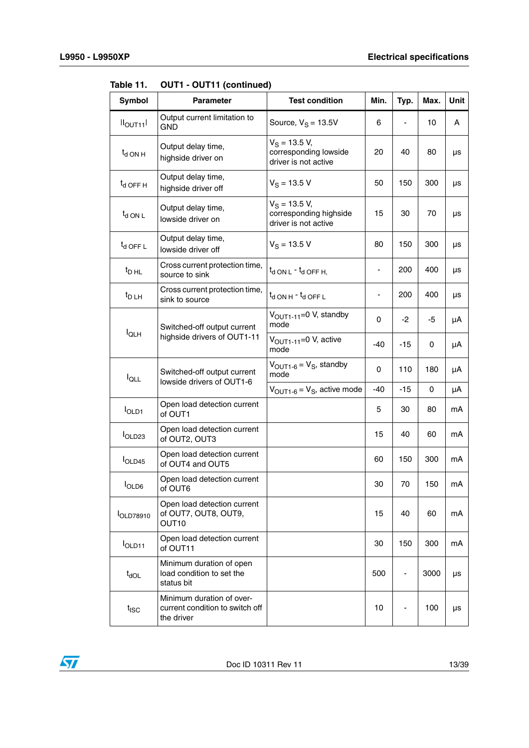| Symbol                | <b>Parameter</b>                                                           | <b>Test condition</b>                                             | Min. | Typ.           | Max. | Unit |
|-----------------------|----------------------------------------------------------------------------|-------------------------------------------------------------------|------|----------------|------|------|
| II <sub>OUT11</sub> I | Output current limitation to<br><b>GND</b>                                 | Source, $V_S = 13.5V$                                             | 6    |                | 10   | A    |
| $t_{d}$ ON H          | Output delay time,<br>highside driver on                                   | $V_S = 13.5 V,$<br>corresponding lowside<br>driver is not active  | 20   | 40             | 80   | μs   |
| $t_d$ OFF H           | Output delay time,<br>highside driver off                                  | $V_S = 13.5 V$                                                    | 50   | 150            | 300  | μs   |
| $t_{d}$ ON L          | Output delay time,<br>lowside driver on                                    | $V_S$ = 13.5 V,<br>corresponding highside<br>driver is not active | 15   | 30             | 70   | μs   |
| $t_d$ OFF L           | Output delay time,<br>lowside driver off                                   | $V_S = 13.5 V$                                                    | 80   | 150            | 300  | μs   |
| $t_{\text{D HL}}$     | Cross current protection time,<br>source to sink                           | $t_{\rm d}$ ON L $\cdot$ $t_{\rm d}$ OFF H.                       |      | 200            | 400  | μs   |
| $t_{D L H}$           | Cross current protection time,<br>sink to source                           | $t_d$ ON H $ t_d$ OFF L                                           |      | 200            | 400  | μs   |
| $I_{QLH}$             | Switched-off output current<br>highside drivers of OUT1-11                 | $VOUT1-11=0 V, standby$<br>mode                                   | 0    | -2             | -5   | μA   |
|                       |                                                                            | V <sub>OUT1-11</sub> =0 V, active<br>mode                         | -40  | $-15$          | 0    | μΑ   |
| $I_{\text{QLL}}$      | Switched-off output current<br>lowside drivers of OUT1-6                   | $V_{\text{OUT1-6}} = V_{\text{S}}$ , standby<br>mode              | 0    | 110            | 180  | μA   |
|                       |                                                                            | $V_{\text{OUT1-6}} = V_{\text{S}}$ , active mode                  | -40  | $-15$          | 0    | μA   |
| <b>IOLD1</b>          | Open load detection current<br>of OUT1                                     |                                                                   | 5    | 30             | 80   | mA   |
| I <sub>OLD23</sub>    | Open load detection current<br>of OUT2, OUT3                               |                                                                   | 15   | 40             | 60   | mA   |
| I <sub>OLD45</sub>    | Open load detection current<br>of OUT4 and OUT5                            |                                                                   | 60   | 150            | 300  | mA   |
| <b>I</b> OLD6         | Open load detection current<br>of OUT6                                     |                                                                   | 30   | 70             | 150  | mA   |
| <b>IOLD78910</b>      | Open load detection current<br>of OUT7, OUT8, OUT9,<br>OUT <sub>10</sub>   |                                                                   | 15   | 40             | 60   | mA   |
| <b>IOLD11</b>         | Open load detection current<br>of OUT11                                    |                                                                   | 30   | 150            | 300  | mA   |
| $t_{\text{dOL}}$      | Minimum duration of open<br>load condition to set the<br>status bit        |                                                                   | 500  | $\blacksquare$ | 3000 | μs   |
| $t_{\text{ISC}}$      | Minimum duration of over-<br>current condition to switch off<br>the driver |                                                                   | 10   |                | 100  | μs   |

**Table 11. OUT1 - OUT11 (continued)**

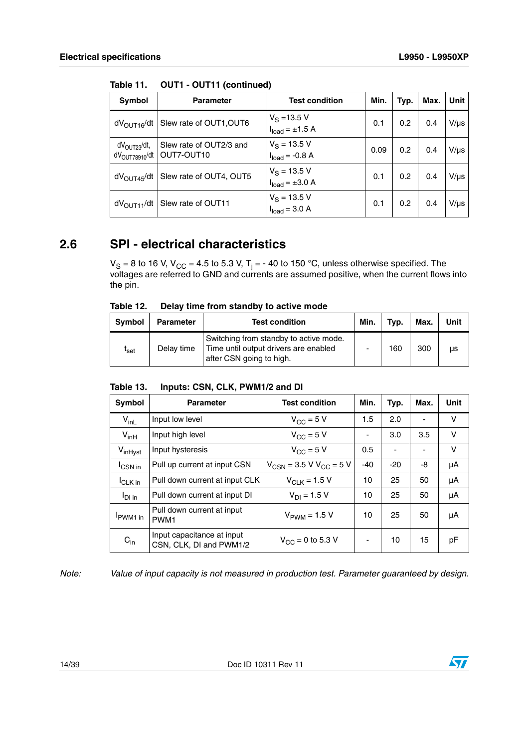| Symbol                                                | <b>Parameter</b>                          | <b>Test condition</b>                 | Min. | Typ. | Max. | Unit      |
|-------------------------------------------------------|-------------------------------------------|---------------------------------------|------|------|------|-----------|
| $dV_{\text{OUT16}}/dt$                                | Slew rate of OUT1, OUT6                   | $V_S = 13.5 V$<br>$Iload = ±1.5 A$    | 0.1  | 0.2  | 0.4  | $V/\mu s$ |
| dV <sub>OUT23</sub> /dt,<br>$dV_{\text{OUT78910}}/dt$ | Slew rate of OUT2/3 and<br>OUT7-OUT10     | $V_S = 13.5 V$<br>$Iload = -0.8 A$    | 0.09 | 0.2  | 0.4  | $V/\mu s$ |
| $dV_{\text{OUT45}}/dt$                                | Slew rate of OUT4, OUT5                   | $V_S = 13.5 V$<br>$Iload = \pm 3.0 A$ | 0.1  | 0.2  | 0.4  | $V/\mu s$ |
|                                                       | $dV_{\text{OUT11}}/dt$ Slew rate of OUT11 | $V_S = 13.5 V$<br>$Iload = 3.0 A$     | 0.1  | 0.2  | 0.4  | $V/\mu s$ |

**Table 11. OUT1 - OUT11 (continued)**

## <span id="page-13-0"></span>**2.6 SPI - electrical characteristics**

V<sub>S</sub> = 8 to 16 V, V<sub>CC</sub> = 4.5 to 5.3 V, T<sub>j</sub> = - 40 to 150 °C, unless otherwise specified. The voltages are referred to GND and currents are assumed positive, when the current flows into the pin.

<span id="page-13-1"></span>

| Table 12. |  | Delay time from standby to active mode |  |  |
|-----------|--|----------------------------------------|--|--|
|           |  |                                        |  |  |

| <b>Symbol</b>    | <b>Parameter</b> | <b>Test condition</b>                                                                                       | Min. | Typ. | Max. | Unit |
|------------------|------------------|-------------------------------------------------------------------------------------------------------------|------|------|------|------|
| l <sub>Set</sub> | Delay time       | Switching from standby to active mode.<br>Time until output drivers are enabled<br>after CSN going to high. | -    | 160  | 300  | μs   |

#### <span id="page-13-2"></span>Table 13. **Table 13. Inputs: CSN, CLK, PWM1/2 and DI**

| Symbol              | <b>Parameter</b>                                      | <b>Test condition</b>                   | Min.  | Typ.  | Max.                     | Unit |
|---------------------|-------------------------------------------------------|-----------------------------------------|-------|-------|--------------------------|------|
| $V_{inL}$           | Input low level                                       | $V_{\rm CC}$ = 5 V                      | 1.5   | 2.0   | $\overline{\phantom{a}}$ | V    |
| $V_{inH}$           | Input high level                                      | $V_{CC}$ = 5 V                          | -     | 3.0   | 3.5                      | v    |
| V <sub>inHyst</sub> | Input hysteresis                                      | $V_{\text{CC}} = 5 V$                   | 0.5   | ٠     | ٠                        | V    |
| $I_{\text{CSN}}$ in | Pull up current at input CSN                          | $V_{CSN}$ = 3.5 V V <sub>CC</sub> = 5 V | $-40$ | $-20$ | -8                       | μA   |
| <sup>I</sup> CLK in | Pull down current at input CLK                        | $V_{C1K} = 1.5 V$                       | 10    | 25    | 50                       | μA   |
| $I_{DI}$ in         | Pull down current at input DI                         | $V_{DI} = 1.5 V$                        | 10    | 25    | 50                       | μA   |
| PWM <sub>1</sub> in | Pull down current at input<br>PWM <sub>1</sub>        | $V_{\text{PWM}}$ = 1.5 V                | 10    | 25    | 50                       | μA   |
| $C_{in}$            | Input capacitance at input<br>CSN, CLK, DI and PWM1/2 | $V_{CC}$ = 0 to 5.3 V                   | -     | 10    | 15                       | рF   |

*Note: Value of input capacity is not measured in production test. Parameter guaranteed by design.*

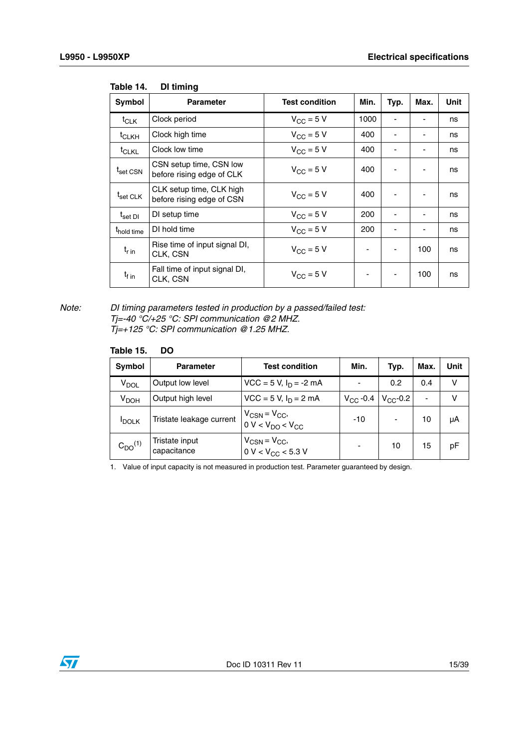| Symbol                           | <b>Parameter</b>                                      | <b>Test condition</b> | Min. | Typ. | Max. | Unit |
|----------------------------------|-------------------------------------------------------|-----------------------|------|------|------|------|
| $t_{CLK}$                        | Clock period                                          | $V_{\rm CC}$ = 5 V    | 1000 |      |      | ns   |
| <sup>t</sup> CLKH                | Clock high time                                       | $V_{CC}$ = 5 V        | 400  |      | ۰    | ns   |
| t <sub>CLKL</sub>                | Clock low time                                        | $V_{CC}$ = 5 V        | 400  | ۰    | ۰    | ns   |
| t <sub>set CSN</sub>             | CSN setup time, CSN low<br>before rising edge of CLK  | $V_{\text{CC}} = 5$ V | 400  | ۰    | ۰    | ns   |
| t <sub>set CLK</sub>             | CLK setup time, CLK high<br>before rising edge of CSN | $V_{\rm CC}$ = 5 V    | 400  | ٠    | -    | ns   |
| $\mathfrak{t}_{\mathsf{set}}$ DI | DI setup time                                         | $V_{CC}$ = 5 V        | 200  |      |      | ns   |
| <sup>t</sup> hold time           | DI hold time                                          | $V_{CC}$ = 5 V        | 200  | ٠    | ٠    | ns   |
| $t_{\rm r}$ in                   | Rise time of input signal DI,<br>CLK, CSN             | $V_{\rm CC}$ = 5 V    |      |      | 100  | ns   |
| $t_{\text{f}}$ in                | Fall time of input signal DI,<br>CLK, CSN             | $V_{\rm CC}$ = 5 V    |      | ٠    | 100  | ns   |

#### <span id="page-14-0"></span>Table 14. **DI timing**

#### *Note: DI timing parameters tested in production by a passed/failed test: Tj=-40 °C/+25 °C: SPI communication @2 MHZ. Tj=+125 °C: SPI communication @1.25 MHZ.*

#### <span id="page-14-1"></span>**Table 15. DO**

| <b>Symbol</b>             | <b>Parameter</b>              | <b>Test condition</b>                                               | Min.          | Typ.          | Max.           | Unit |
|---------------------------|-------------------------------|---------------------------------------------------------------------|---------------|---------------|----------------|------|
| $\mathsf{v}_\mathsf{DOL}$ | Output low level              | $VCC = 5 V, I_D = -2 mA$                                            |               | 0.2           | 0.4            | ν    |
| $V_{\text{DOH}}$          | Output high level             | $VCC = 5 V, I_D = 2 mA$                                             | $V_{CC}$ -0.4 | $V_{CC}$ -0.2 | $\blacksquare$ | v    |
| <b>IDOLK</b>              | Tristate leakage current      | $V_{CSN} = V_{CC},$<br>0 V < V <sub>DO</sub> < V <sub>CC</sub>      | $-10$         | ٠             | 10             | μA   |
| $C_{DO}^{(1)}$            | Tristate input<br>capacitance | $V_{CSN} = V_{CC}$<br>$0 \text{ V} < V_{\text{CC}} < 5.3 \text{ V}$ |               | 10            | 15             | pF   |

1. Value of input capacity is not measured in production test. Parameter guaranteed by design.

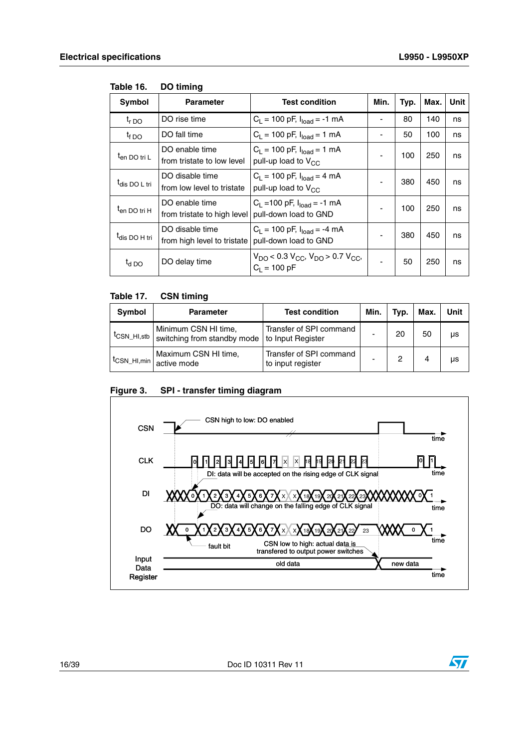| Symbol                    | <b>Parameter</b>                                                       | <b>Test condition</b>                                                                             | Min. | Typ. | Max. | Unit |
|---------------------------|------------------------------------------------------------------------|---------------------------------------------------------------------------------------------------|------|------|------|------|
| $t_{r,DO}$                | DO rise time                                                           | $C_1 = 100$ pF, $I_{load} = -1$ mA                                                                |      | 80   | 140  | ns   |
| $t_{f, DO}$               | DO fall time                                                           | $C_1 = 100$ pF, $I_{load} = 1$ mA                                                                 | ۰    | 50   | 100  | ns   |
| <sup>I</sup> en DO tri L  | DO enable time<br>from tristate to low level                           | $C_1 = 100$ pF, $I_{load} = 1$ mA<br>pull-up load to $V_{CC}$                                     |      | 100  | 250  | ns   |
| <sup>I</sup> dis DO L tri | DO disable time<br>from low level to tristate                          | $C_L$ = 100 pF, $I_{load}$ = 4 mA<br>pull-up load to $V_{CC}$                                     |      | 380  | 450  | ns   |
| $t_{en}$ DO tri H         | DO enable time<br>from tristate to high level                          | $C_1$ = 100 pF, $I_{load}$ = -1 mA<br>pull-down load to GND                                       |      | 100  | 250  | ns   |
| <sup>t</sup> dis DO H tri | DO disable time<br>from high level to tristate   pull-down load to GND | $C_1 = 100$ pF, $I_{load} = -4$ mA                                                                |      | 380  | 450  | ns   |
| $t_{d}$ DO                | DO delay time                                                          | $V_{\text{DO}}$ < 0.3 $V_{\text{CC}}$ , $V_{\text{DO}}$ > 0.7 $V_{\text{CC}}$ ,<br>$C_1 = 100 pF$ | ۰    | 50   | 250  | ns   |

#### <span id="page-15-0"></span>Table 16. **Table 16. DO timing**

#### <span id="page-15-1"></span>Table 17. **CSN timing**

| Symbol                    | <b>Parameter</b>                                                        | <b>Test condition</b>                        | Min. | Typ. | Max. | Unit |
|---------------------------|-------------------------------------------------------------------------|----------------------------------------------|------|------|------|------|
| $t_{\text{CSN\_HI,stb}}$  | Minimum CSN HI time,<br>switching from standby mode   to Input Register | Transfer of SPI command                      |      | 20   | 50   | μs   |
| i <sup>t</sup> CSN_HI,min | Maximum CSN HI time,<br>active mode                                     | Transfer of SPI command<br>to input register |      |      | 4    | μs   |

<span id="page-15-2"></span>



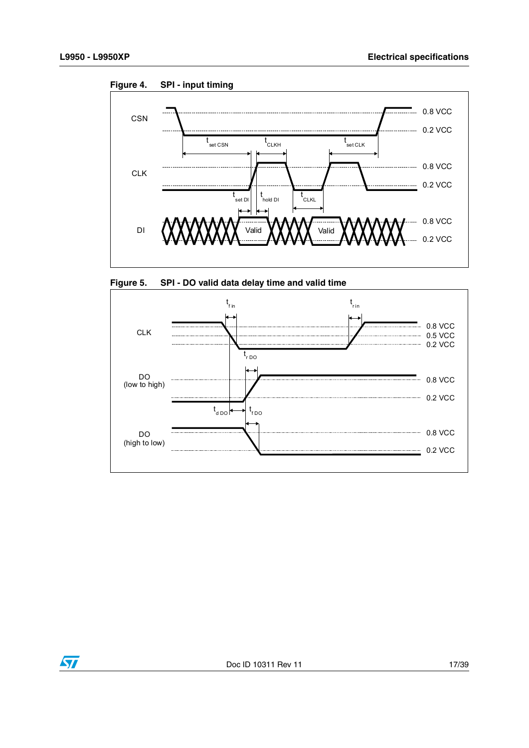

<span id="page-16-0"></span>**Figure 4. SPI - input timing**

<span id="page-16-1"></span>



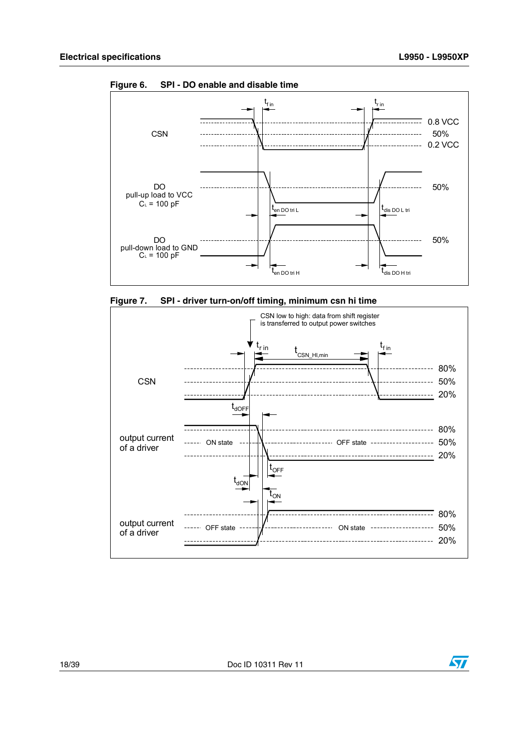

<span id="page-17-0"></span>**Figure 6. SPI - DO enable and disable time**

<span id="page-17-1"></span>



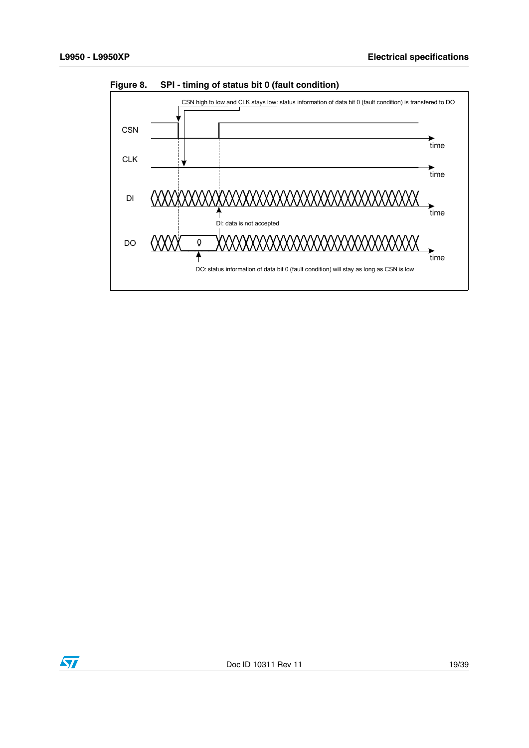

<span id="page-18-0"></span>**Figure 8. SPI - timing of status bit 0 (fault condition)**

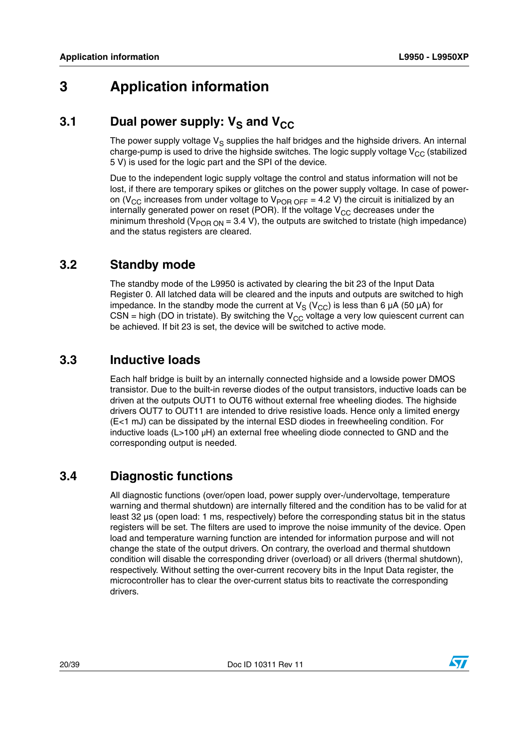# <span id="page-19-0"></span>**3 Application information**

## <span id="page-19-1"></span>**3.1** Dual power supply: V<sub>S</sub> and V<sub>CC</sub>

The power supply voltage  $V_S$  supplies the half bridges and the highside drivers. An internal charge-pump is used to drive the highside switches. The logic supply voltage  $V_{CC}$  (stabilized 5 V) is used for the logic part and the SPI of the device.

Due to the independent logic supply voltage the control and status information will not be lost, if there are temporary spikes or glitches on the power supply voltage. In case of poweron (V<sub>CC</sub> increases from under voltage to V<sub>POR OFF</sub> = 4.2 V) the circuit is initialized by an internally generated power on reset (POR). If the voltage  $V_{CC}$  decreases under the minimum threshold ( $V_{POR ON}$  = 3.4 V), the outputs are switched to tristate (high impedance) and the status registers are cleared.

#### <span id="page-19-2"></span>**3.2 Standby mode**

The standby mode of the L9950 is activated by clearing the bit 23 of the Input Data Register 0. All latched data will be cleared and the inputs and outputs are switched to high impedance. In the standby mode the current at  $V_S (V_{CC})$  is less than 6  $\mu$ A (50  $\mu$ A) for CSN = high (DO in tristate). By switching the  $V_{CC}$  voltage a very low quiescent current can be achieved. If bit 23 is set, the device will be switched to active mode.

#### <span id="page-19-3"></span>**3.3 Inductive loads**

Each half bridge is built by an internally connected highside and a lowside power DMOS transistor. Due to the built-in reverse diodes of the output transistors, inductive loads can be driven at the outputs OUT1 to OUT6 without external free wheeling diodes. The highside drivers OUT7 to OUT11 are intended to drive resistive loads. Hence only a limited energy (E<1 mJ) can be dissipated by the internal ESD diodes in freewheeling condition. For inductive loads ( $L>100 \mu H$ ) an external free wheeling diode connected to GND and the corresponding output is needed.

### <span id="page-19-4"></span>**3.4 Diagnostic functions**

All diagnostic functions (over/open load, power supply over-/undervoltage, temperature warning and thermal shutdown) are internally filtered and the condition has to be valid for at least 32 µs (open load: 1 ms, respectively) before the corresponding status bit in the status registers will be set. The filters are used to improve the noise immunity of the device. Open load and temperature warning function are intended for information purpose and will not change the state of the output drivers. On contrary, the overload and thermal shutdown condition will disable the corresponding driver (overload) or all drivers (thermal shutdown), respectively. Without setting the over-current recovery bits in the Input Data register, the microcontroller has to clear the over-current status bits to reactivate the corresponding drivers.

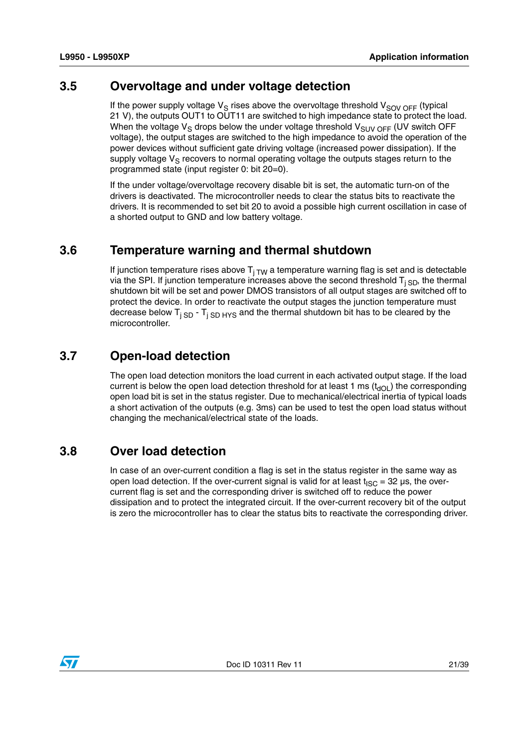#### <span id="page-20-0"></span>**3.5 Overvoltage and under voltage detection**

If the power supply voltage  $V_S$  rises above the overvoltage threshold  $V_{SOV OFF}$  (typical 21 V), the outputs OUT1 to OUT11 are switched to high impedance state to protect the load. When the voltage  $V_S$  drops below the under voltage threshold  $V_{SUV \, OFF}$  (UV switch OFF voltage), the output stages are switched to the high impedance to avoid the operation of the power devices without sufficient gate driving voltage (increased power dissipation). If the supply voltage  $V_S$  recovers to normal operating voltage the outputs stages return to the programmed state (input register 0: bit 20=0).

If the under voltage/overvoltage recovery disable bit is set, the automatic turn-on of the drivers is deactivated. The microcontroller needs to clear the status bits to reactivate the drivers. It is recommended to set bit 20 to avoid a possible high current oscillation in case of a shorted output to GND and low battery voltage.

#### <span id="page-20-1"></span>**3.6 Temperature warning and thermal shutdown**

If junction temperature rises above  $T_{i, TW}$  a temperature warning flag is set and is detectable via the SPI. If junction temperature increases above the second threshold  $T_{i SD}$ , the thermal shutdown bit will be set and power DMOS transistors of all output stages are switched off to protect the device. In order to reactivate the output stages the junction temperature must decrease below  $T_{i SD}$  -  $T_{i SD HYS}$  and the thermal shutdown bit has to be cleared by the microcontroller.

#### <span id="page-20-2"></span>**3.7 Open-load detection**

The open load detection monitors the load current in each activated output stage. If the load current is below the open load detection threshold for at least 1 ms  $(t<sub>d</sub>)$  the corresponding open load bit is set in the status register. Due to mechanical/electrical inertia of typical loads a short activation of the outputs (e.g. 3ms) can be used to test the open load status without changing the mechanical/electrical state of the loads.

#### <span id="page-20-3"></span>**3.8 Over load detection**

In case of an over-current condition a flag is set in the status register in the same way as open load detection. If the over-current signal is valid for at least  $t_{\text{ISC}} = 32 \mu s$ , the overcurrent flag is set and the corresponding driver is switched off to reduce the power dissipation and to protect the integrated circuit. If the over-current recovery bit of the output is zero the microcontroller has to clear the status bits to reactivate the corresponding driver.

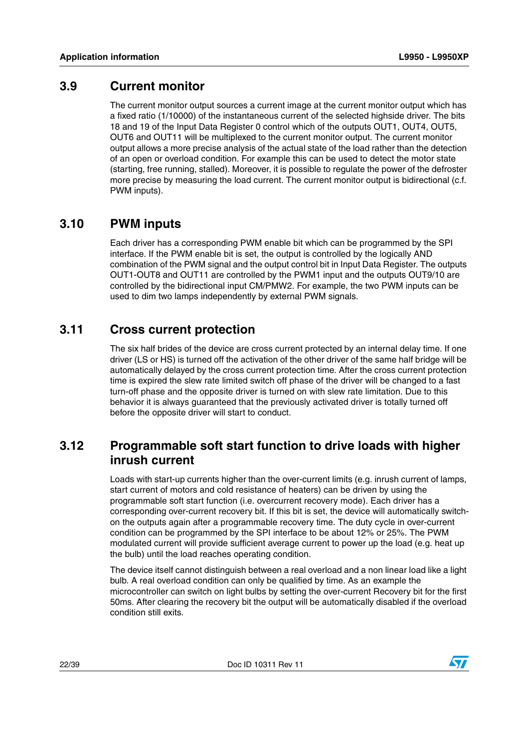#### <span id="page-21-0"></span>**3.9 Current monitor**

The current monitor output sources a current image at the current monitor output which has a fixed ratio (1/10000) of the instantaneous current of the selected highside driver. The bits 18 and 19 of the Input Data Register 0 control which of the outputs OUT1, OUT4, OUT5, OUT6 and OUT11 will be multiplexed to the current monitor output. The current monitor output allows a more precise analysis of the actual state of the load rather than the detection of an open or overload condition. For example this can be used to detect the motor state (starting, free running, stalled). Moreover, it is possible to regulate the power of the defroster more precise by measuring the load current. The current monitor output is bidirectional (c.f. PWM inputs).

#### <span id="page-21-1"></span>**3.10 PWM inputs**

Each driver has a corresponding PWM enable bit which can be programmed by the SPI interface. If the PWM enable bit is set, the output is controlled by the logically AND combination of the PWM signal and the output control bit in Input Data Register. The outputs OUT1-OUT8 and OUT11 are controlled by the PWM1 input and the outputs OUT9/10 are controlled by the bidirectional input CM/PMW2. For example, the two PWM inputs can be used to dim two lamps independently by external PWM signals.

#### <span id="page-21-2"></span>**3.11 Cross current protection**

The six half brides of the device are cross current protected by an internal delay time. If one driver (LS or HS) is turned off the activation of the other driver of the same half bridge will be automatically delayed by the cross current protection time. After the cross current protection time is expired the slew rate limited switch off phase of the driver will be changed to a fast turn-off phase and the opposite driver is turned on with slew rate limitation. Due to this behavior it is always guaranteed that the previously activated driver is totally turned off before the opposite driver will start to conduct.

#### <span id="page-21-3"></span>**3.12 Programmable soft start function to drive loads with higher inrush current**

Loads with start-up currents higher than the over-current limits (e.g. inrush current of lamps, start current of motors and cold resistance of heaters) can be driven by using the programmable soft start function (i.e. overcurrent recovery mode). Each driver has a corresponding over-current recovery bit. If this bit is set, the device will automatically switchon the outputs again after a programmable recovery time. The duty cycle in over-current condition can be programmed by the SPI interface to be about 12% or 25%. The PWM modulated current will provide sufficient average current to power up the load (e.g. heat up the bulb) until the load reaches operating condition.

The device itself cannot distinguish between a real overload and a non linear load like a light bulb. A real overload condition can only be qualified by time. As an example the microcontroller can switch on light bulbs by setting the over-current Recovery bit for the first 50ms. After clearing the recovery bit the output will be automatically disabled if the overload condition still exits.

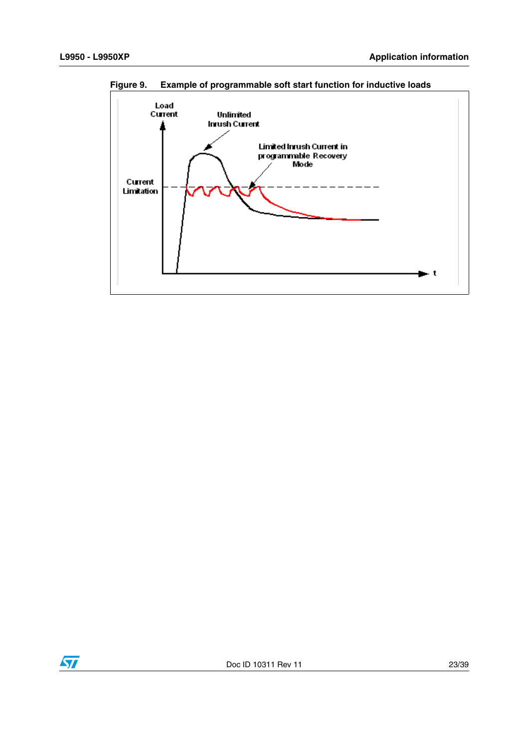

<span id="page-22-0"></span>**Figure 9. Example of programmable soft start function for inductive loads**

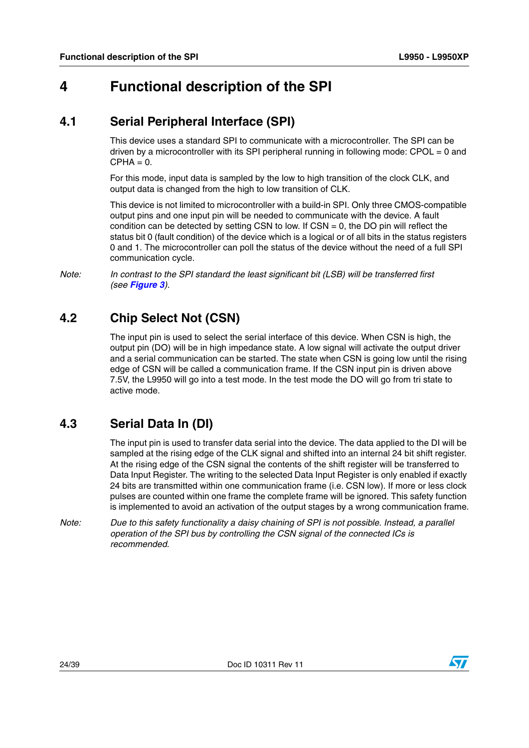# <span id="page-23-0"></span>**4 Functional description of the SPI**

### <span id="page-23-1"></span>**4.1 Serial Peripheral Interface (SPI)**

This device uses a standard SPI to communicate with a microcontroller. The SPI can be driven by a microcontroller with its SPI peripheral running in following mode: CPOL = 0 and  $CPHA = 0.$ 

For this mode, input data is sampled by the low to high transition of the clock CLK, and output data is changed from the high to low transition of CLK.

This device is not limited to microcontroller with a build-in SPI. Only three CMOS-compatible output pins and one input pin will be needed to communicate with the device. A fault condition can be detected by setting CSN to low. If  $CSN = 0$ , the DO pin will reflect the status bit 0 (fault condition) of the device which is a logical or of all bits in the status registers 0 and 1. The microcontroller can poll the status of the device without the need of a full SPI communication cycle.

*Note: In contrast to the SPI standard the least significant bit (LSB) will be transferred first (see [Figure 3](#page-15-2)).*

## <span id="page-23-2"></span>**4.2 Chip Select Not (CSN)**

The input pin is used to select the serial interface of this device. When CSN is high, the output pin (DO) will be in high impedance state. A low signal will activate the output driver and a serial communication can be started. The state when CSN is going low until the rising edge of CSN will be called a communication frame. If the CSN input pin is driven above 7.5V, the L9950 will go into a test mode. In the test mode the DO will go from tri state to active mode.

## <span id="page-23-3"></span>**4.3 Serial Data In (DI)**

The input pin is used to transfer data serial into the device. The data applied to the DI will be sampled at the rising edge of the CLK signal and shifted into an internal 24 bit shift register. At the rising edge of the CSN signal the contents of the shift register will be transferred to Data Input Register. The writing to the selected Data Input Register is only enabled if exactly 24 bits are transmitted within one communication frame (i.e. CSN low). If more or less clock pulses are counted within one frame the complete frame will be ignored. This safety function is implemented to avoid an activation of the output stages by a wrong communication frame.

*Note: Due to this safety functionality a daisy chaining of SPI is not possible. Instead, a parallel operation of the SPI bus by controlling the CSN signal of the connected ICs is recommended.* 

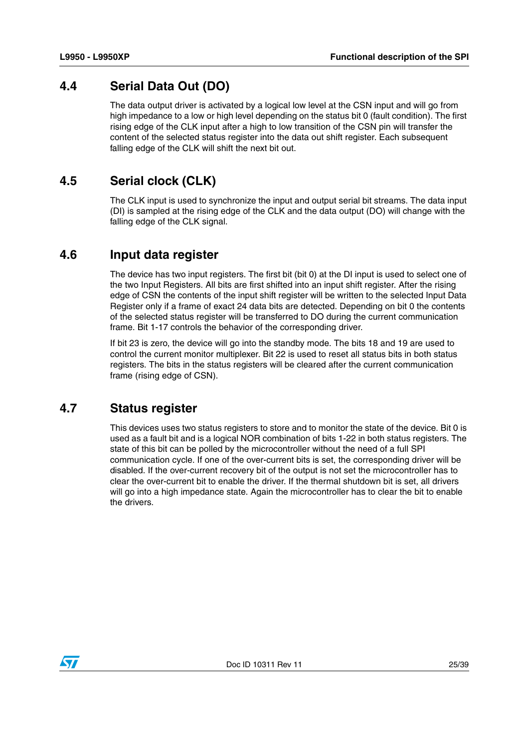#### <span id="page-24-0"></span>**4.4 Serial Data Out (DO)**

The data output driver is activated by a logical low level at the CSN input and will go from high impedance to a low or high level depending on the status bit 0 (fault condition). The first rising edge of the CLK input after a high to low transition of the CSN pin will transfer the content of the selected status register into the data out shift register. Each subsequent falling edge of the CLK will shift the next bit out.

#### <span id="page-24-1"></span>**4.5 Serial clock (CLK)**

The CLK input is used to synchronize the input and output serial bit streams. The data input (DI) is sampled at the rising edge of the CLK and the data output (DO) will change with the falling edge of the CLK signal.

#### <span id="page-24-2"></span>**4.6 Input data register**

The device has two input registers. The first bit (bit 0) at the DI input is used to select one of the two Input Registers. All bits are first shifted into an input shift register. After the rising edge of CSN the contents of the input shift register will be written to the selected Input Data Register only if a frame of exact 24 data bits are detected. Depending on bit 0 the contents of the selected status register will be transferred to DO during the current communication frame. Bit 1-17 controls the behavior of the corresponding driver.

If bit 23 is zero, the device will go into the standby mode. The bits 18 and 19 are used to control the current monitor multiplexer. Bit 22 is used to reset all status bits in both status registers. The bits in the status registers will be cleared after the current communication frame (rising edge of CSN).

#### <span id="page-24-3"></span>**4.7 Status register**

This devices uses two status registers to store and to monitor the state of the device. Bit 0 is used as a fault bit and is a logical NOR combination of bits 1-22 in both status registers. The state of this bit can be polled by the microcontroller without the need of a full SPI communication cycle. If one of the over-current bits is set, the corresponding driver will be disabled. If the over-current recovery bit of the output is not set the microcontroller has to clear the over-current bit to enable the driver. If the thermal shutdown bit is set, all drivers will go into a high impedance state. Again the microcontroller has to clear the bit to enable the drivers.

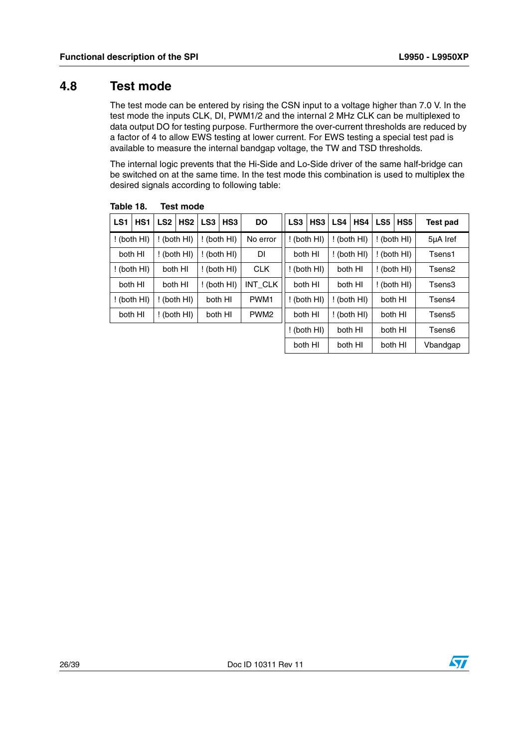#### <span id="page-25-0"></span>**4.8 Test mode**

The test mode can be entered by rising the CSN input to a voltage higher than 7.0 V. In the test mode the inputs CLK, DI, PWM1/2 and the internal 2 MHz CLK can be multiplexed to data output DO for testing purpose. Furthermore the over-current thresholds are reduced by a factor of 4 to allow EWS testing at lower current. For EWS testing a special test pad is available to measure the internal bandgap voltage, the TW and TSD thresholds.

The internal logic prevents that the Hi-Side and Lo-Side driver of the same half-bridge can be switched on at the same time. In the test mode this combination is used to multiplex the desired signals according to following table:

| LS1         | HS <sub>1</sub> | LS <sub>2</sub> | HS <sub>2</sub> | LS <sub>3</sub> | HS3           | <b>DO</b>        | LS <sub>3</sub> | HS <sub>3</sub>        | LS4     | HS4         | LS5 I | HS <sub>5</sub> | <b>Test pad</b> |
|-------------|-----------------|-----------------|-----------------|-----------------|---------------|------------------|-----------------|------------------------|---------|-------------|-------|-----------------|-----------------|
| ! (both HI) |                 |                 | $!$ (both HI)   |                 | $!$ (both HI) | No error         |                 | (both HI)              |         | (both HI)   |       | $!$ (both HI)   | 5µA Iref        |
| both HI     |                 |                 | ! (both HI)     |                 | $!$ (both HI) | <b>DI</b>        |                 | both HI                |         | ! (both HI) |       | $!$ (both HI)   | Tsens1          |
|             | $!$ (both HI)   |                 | both HI         |                 | $!$ (both HI) | <b>CLK</b>       |                 | (both HI)              | both HI |             |       | $!$ (both HI)   | Tsens2          |
|             | both HI         |                 | both HI         |                 | $!$ (both HI) | INT_CLK          |                 | both HI                | both HI |             |       | $!$ (both HI)   | Tsens3          |
|             | (both HI)       |                 | $!$ (both HI)   |                 | both HI       | PWM <sub>1</sub> |                 | (both HI)              |         | (both HI)   |       | both HI         | Tsens4          |
|             | both HI         |                 | $!$ (both HI)   |                 | both HI       | PWM <sub>2</sub> |                 | both HI<br>! (both HI) |         |             |       | both HI         | Tsens5          |
|             |                 |                 |                 |                 |               |                  |                 | (both HI)              | both HI |             |       | both HI         | Tsens6          |
|             |                 |                 |                 |                 |               |                  |                 | both HI                | both HI |             |       | both HI         | Vbandgap        |

<span id="page-25-1"></span>Table 18. **Test mode** 



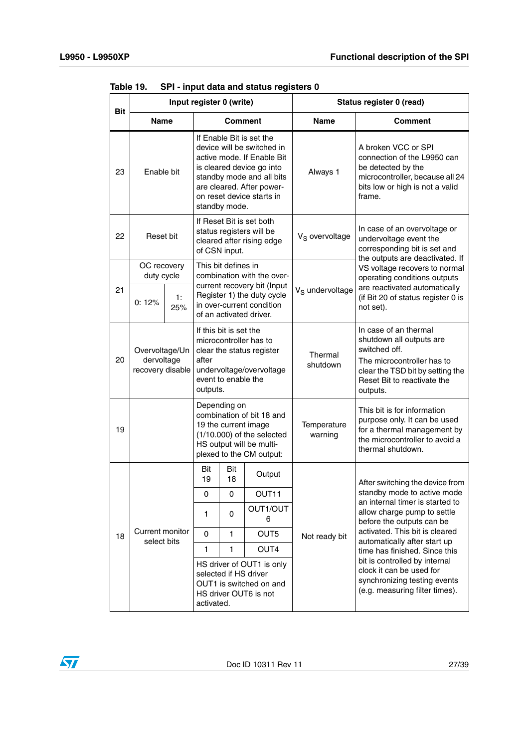$\sqrt{2}$ 

|            | Input register 0 (write)                         |           |                                                                                                                                                                                                                           |                     | Status register 0 (read)    |                                                                                                                                                                                 |                                                                |  |
|------------|--------------------------------------------------|-----------|---------------------------------------------------------------------------------------------------------------------------------------------------------------------------------------------------------------------------|---------------------|-----------------------------|---------------------------------------------------------------------------------------------------------------------------------------------------------------------------------|----------------------------------------------------------------|--|
| <b>Bit</b> | <b>Name</b>                                      |           |                                                                                                                                                                                                                           | <b>Comment</b>      |                             | <b>Name</b>                                                                                                                                                                     | Comment                                                        |  |
| 23         | Enable bit                                       |           | If Enable Bit is set the<br>device will be switched in<br>active mode. If Enable Bit<br>is cleared device go into<br>standby mode and all bits<br>are cleared. After power-<br>on reset device starts in<br>standby mode. |                     | Always 1                    | A broken VCC or SPI<br>connection of the L9950 can<br>be detected by the<br>microcontroller, because all 24<br>bits low or high is not a valid<br>frame.                        |                                                                |  |
| 22         | Reset bit                                        |           | If Reset Bit is set both<br>status registers will be<br>cleared after rising edge<br>of CSN input.                                                                                                                        |                     | V <sub>S</sub> overvoltage  | In case of an overvoltage or<br>undervoltage event the<br>corresponding bit is set and<br>the outputs are deactivated. If                                                       |                                                                |  |
|            | OC recovery<br>duty cycle                        |           |                                                                                                                                                                                                                           | This bit defines in | combination with the over-  |                                                                                                                                                                                 | VS voltage recovers to normal<br>operating conditions outputs  |  |
| 21         | 0:12%                                            | 1:<br>25% | current recovery bit (Input<br>Register 1) the duty cycle<br>in over-current condition<br>of an activated driver.                                                                                                         |                     | V <sub>S</sub> undervoltage | are reactivated automatically<br>(if Bit 20 of status register 0 is<br>not set).                                                                                                |                                                                |  |
| 20         | Overvoltage/Un<br>dervoltage<br>recovery disable |           | If this bit is set the<br>microcontroller has to<br>clear the status register<br>after<br>undervoltage/overvoltage<br>event to enable the<br>outputs.                                                                     |                     | Thermal<br>shutdown         | In case of an thermal<br>shutdown all outputs are<br>switched off.<br>The microcontroller has to<br>clear the TSD bit by setting the<br>Reset Bit to reactivate the<br>outputs. |                                                                |  |
| 19         |                                                  |           | Depending on<br>combination of bit 18 and<br>19 the current image<br>(1/10.000) of the selected<br>HS output will be multi-<br>plexed to the CM output:                                                                   |                     | Temperature<br>warning      | This bit is for information<br>purpose only. It can be used<br>for a thermal management by<br>the microcontroller to avoid a<br>thermal shutdown.                               |                                                                |  |
|            |                                                  |           | Bit<br>19                                                                                                                                                                                                                 | Bit<br>18           | Output                      |                                                                                                                                                                                 | After switching the device from                                |  |
|            |                                                  |           | 0                                                                                                                                                                                                                         | 0                   | OUT11                       |                                                                                                                                                                                 | standby mode to active mode<br>an internal timer is started to |  |
|            |                                                  |           | 1                                                                                                                                                                                                                         | 0                   | OUT1/OUT<br>6               |                                                                                                                                                                                 | allow charge pump to settle<br>before the outputs can be       |  |
| 18         | Current monitor<br>select bits                   |           | 0                                                                                                                                                                                                                         | 1                   | OUT5                        | Not ready bit                                                                                                                                                                   | activated. This bit is cleared<br>automatically after start up |  |
|            |                                                  |           | 1                                                                                                                                                                                                                         | 1                   | OUT4                        |                                                                                                                                                                                 | time has finished. Since this                                  |  |
|            |                                                  |           | HS driver of OUT1 is only<br>selected if HS driver<br>OUT1 is switched on and<br>HS driver OUT6 is not<br>activated.                                                                                                      |                     |                             | bit is controlled by internal<br>clock it can be used for<br>synchronizing testing events<br>(e.g. measuring filter times).                                                     |                                                                |  |

<span id="page-26-0"></span>**Table 19. SPI - input data and status registers 0**

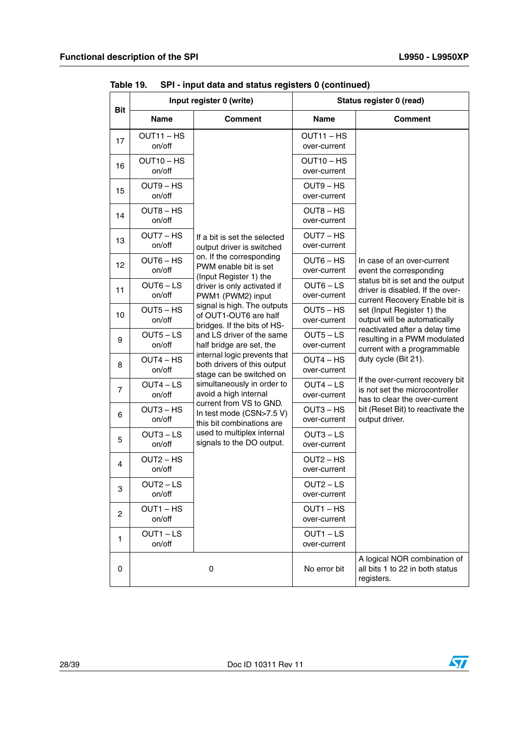|            |                       | Input register 0 (write)                                                                |                                        | Status register 0 (read)                                                                               |
|------------|-----------------------|-----------------------------------------------------------------------------------------|----------------------------------------|--------------------------------------------------------------------------------------------------------|
| <b>Bit</b> | <b>Name</b>           | <b>Comment</b>                                                                          | <b>Name</b>                            | <b>Comment</b>                                                                                         |
| 17         | OUT11-HS<br>on/off    |                                                                                         | $OUT11 - HS$<br>over-current           |                                                                                                        |
| 16         | OUT10-HS<br>on/off    |                                                                                         | OUT <sub>10</sub> – HS<br>over-current |                                                                                                        |
| 15         | $OUT9 - HS$<br>on/off |                                                                                         | OUT9 - HS<br>over-current              |                                                                                                        |
| 14         | $OUT8 - HS$<br>on/off |                                                                                         | OUT8-HS<br>over-current                |                                                                                                        |
| 13         | OUT7 - HS<br>on/off   | If a bit is set the selected<br>output driver is switched                               | OUT7 – HS<br>over-current              |                                                                                                        |
| 12         | $OUT6 - HS$<br>on/off | on. If the corresponding<br>PWM enable bit is set<br>(Input Register 1) the             | OUT6 – HS<br>over-current              | In case of an over-current<br>event the corresponding                                                  |
| 11         | $OUT6 - LS$<br>on/off | driver is only activated if<br>PWM1 (PWM2) input                                        | $OUT6 - LS$<br>over-current            | status bit is set and the output<br>driver is disabled. If the over-<br>current Recovery Enable bit is |
| 10         | $OUT5 - HS$<br>on/off | signal is high. The outputs<br>of OUT1-OUT6 are half<br>bridges. If the bits of HS-     | OUT5 – HS<br>over-current              | set (Input Register 1) the<br>output will be automatically                                             |
| 9          | $OUT5 - LS$<br>on/off | and LS driver of the same<br>half bridge are set, the                                   | $OUT5 - LS$<br>over-current            | reactivated after a delay time<br>resulting in a PWM modulated<br>current with a programmable          |
| 8          | OUT4 – HS<br>on/off   | internal logic prevents that<br>both drivers of this output<br>stage can be switched on | OUT4 – HS<br>over-current              | duty cycle (Bit 21).                                                                                   |
| 7          | $OUT4 - LS$<br>on/off | simultaneously in order to<br>avoid a high internal                                     | $OUT4 - LS$<br>over-current            | If the over-current recovery bit<br>is not set the microcontroller<br>has to clear the over-current    |
| 6          | $OUT3 - HS$<br>on/off | current from VS to GND.<br>In test mode (CSN>7.5 V)<br>this bit combinations are        | $OUT3 - HS$<br>over-current            | bit (Reset Bit) to reactivate the<br>output driver.                                                    |
| 5          | OUT3 – LS<br>on/off   | used to multiplex internal<br>signals to the DO output.                                 | $OUT3 - LS$<br>over-current            |                                                                                                        |
| 4          | $OUT2 - HS$<br>on/off |                                                                                         | OUT2 – HS<br>over-current              |                                                                                                        |
| З          | $OUT2 - LS$<br>on/off |                                                                                         | $OUT2 - LS$<br>over-current            |                                                                                                        |
| 2          | OUT1-HS<br>on/off     |                                                                                         | $OUT1 - HS$<br>over-current            |                                                                                                        |
| 1          | OUT1-LS<br>on/off     |                                                                                         | $OUT1 - LS$<br>over-current            |                                                                                                        |
| 0          |                       | 0                                                                                       | No error bit                           | A logical NOR combination of<br>all bits 1 to 22 in both status<br>registers.                          |

**Table 19. SPI - input data and status registers 0 (continued)**

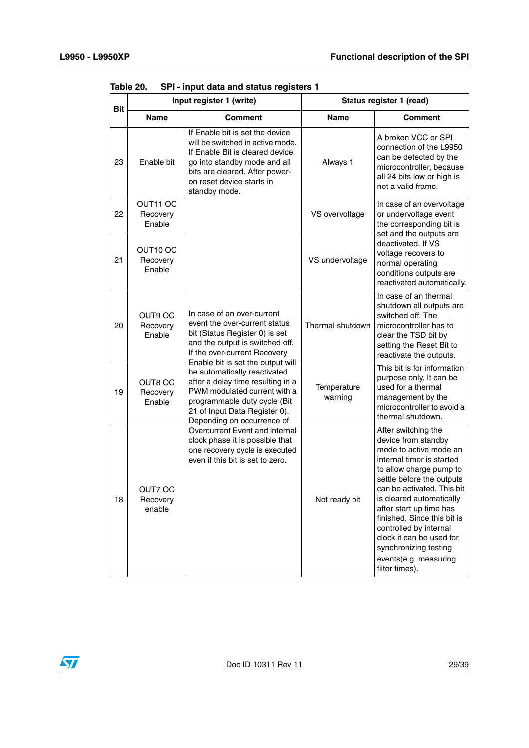| Bit | Input register 1 (write)       |                                                                                                                                                                                                                                                                                                                                                                                                                                                                                                                                                      | Status register 1 (read) |                                                                                                                                                                                                                                                                                                                                                                                                         |  |
|-----|--------------------------------|------------------------------------------------------------------------------------------------------------------------------------------------------------------------------------------------------------------------------------------------------------------------------------------------------------------------------------------------------------------------------------------------------------------------------------------------------------------------------------------------------------------------------------------------------|--------------------------|---------------------------------------------------------------------------------------------------------------------------------------------------------------------------------------------------------------------------------------------------------------------------------------------------------------------------------------------------------------------------------------------------------|--|
|     | <b>Name</b>                    | <b>Comment</b>                                                                                                                                                                                                                                                                                                                                                                                                                                                                                                                                       | Name                     | Comment                                                                                                                                                                                                                                                                                                                                                                                                 |  |
| 23  | Enable bit                     | If Enable bit is set the device<br>will be switched in active mode.<br>If Enable Bit is cleared device<br>go into standby mode and all<br>bits are cleared. After power-<br>on reset device starts in<br>standby mode.                                                                                                                                                                                                                                                                                                                               | Always 1                 | A broken VCC or SPI<br>connection of the L9950<br>can be detected by the<br>microcontroller, because<br>all 24 bits low or high is<br>not a valid frame.                                                                                                                                                                                                                                                |  |
| 22  | OUT11 OC<br>Recovery<br>Enable |                                                                                                                                                                                                                                                                                                                                                                                                                                                                                                                                                      | VS overvoltage           | In case of an overvoltage<br>or undervoltage event<br>the corresponding bit is                                                                                                                                                                                                                                                                                                                          |  |
| 21  | OUT10 OC<br>Recovery<br>Enable | In case of an over-current<br>event the over-current status<br>bit (Status Register 0) is set<br>and the output is switched off.<br>If the over-current Recovery<br>Enable bit is set the output will<br>be automatically reactivated<br>after a delay time resulting in a<br>PWM modulated current with a<br>programmable duty cycle (Bit<br>21 of Input Data Register 0).<br>Depending on occurrence of<br>Overcurrent Event and internal<br>clock phase it is possible that<br>one recovery cycle is executed<br>even if this bit is set to zero. | VS undervoltage          | set and the outputs are<br>deactivated. If VS<br>voltage recovers to<br>normal operating<br>conditions outputs are<br>reactivated automatically.                                                                                                                                                                                                                                                        |  |
| 20  | OUT9 OC<br>Recovery<br>Enable  |                                                                                                                                                                                                                                                                                                                                                                                                                                                                                                                                                      | Thermal shutdown         | In case of an thermal<br>shutdown all outputs are<br>switched off. The<br>microcontroller has to<br>clear the TSD bit by<br>setting the Reset Bit to<br>reactivate the outputs.                                                                                                                                                                                                                         |  |
| 19  | OUT8 OC<br>Recovery<br>Enable  |                                                                                                                                                                                                                                                                                                                                                                                                                                                                                                                                                      | Temperature<br>warning   | This bit is for information<br>purpose only. It can be<br>used for a thermal<br>management by the<br>microcontroller to avoid a<br>thermal shutdown.                                                                                                                                                                                                                                                    |  |
| 18  | OUT7 OC<br>Recovery<br>enable  |                                                                                                                                                                                                                                                                                                                                                                                                                                                                                                                                                      | Not ready bit            | After switching the<br>device from standby<br>mode to active mode an<br>internal timer is started<br>to allow charge pump to<br>settle before the outputs<br>can be activated. This bit<br>is cleared automatically<br>after start up time has<br>finished. Since this bit is<br>controlled by internal<br>clock it can be used for<br>synchronizing testing<br>events(e.g. measuring<br>filter times). |  |

<span id="page-28-0"></span>**Table 20. SPI - input data and status registers 1**

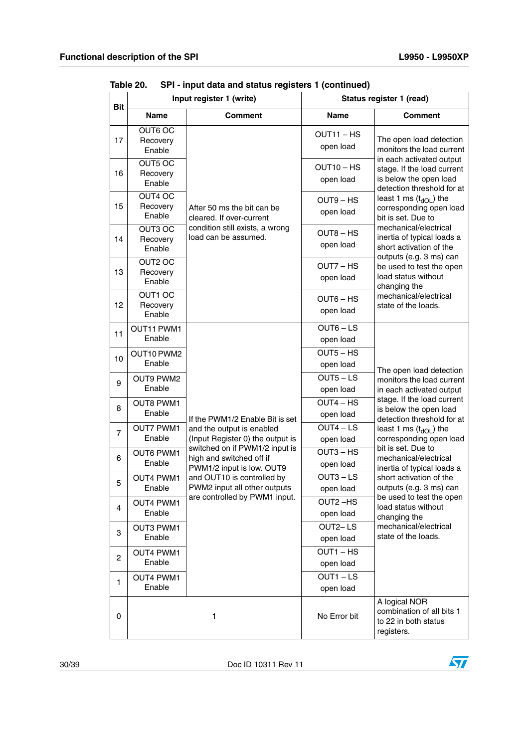|                |                            | Input register 1 (write)                                      |                          | Status register 1 (read)                                                         |
|----------------|----------------------------|---------------------------------------------------------------|--------------------------|----------------------------------------------------------------------------------|
| <b>Bit</b>     | <b>Name</b>                | <b>Comment</b>                                                | <b>Name</b>              | <b>Comment</b>                                                                   |
|                | OUT6 OC                    |                                                               | OUT11-HS                 |                                                                                  |
| 17             | Recovery<br>Enable         |                                                               | open load                | The open load detection<br>monitors the load current                             |
|                | OUT5 OC                    |                                                               | $OUT10 - HS$             | in each activated output<br>stage. If the load current                           |
| 16             | Recovery<br>Enable         |                                                               | open load                | is below the open load                                                           |
|                | OUT4 OC                    |                                                               | OUT9 - HS                | detection threshold for at<br>least 1 ms $(t_{dOI})$ the                         |
| 15             | Recovery<br>Enable         | After 50 ms the bit can be<br>cleared. If over-current        | open load                | corresponding open load<br>bit is set. Due to                                    |
|                | OUT3 OC                    | condition still exists, a wrong                               | OUT8-HS                  | mechanical/electrical                                                            |
| 14             | Recovery<br>Enable         | load can be assumed.                                          | open load                | inertia of typical loads a<br>short activation of the<br>outputs (e.g. 3 ms) can |
|                | OUT2 OC                    |                                                               | OUT7 - HS                | be used to test the open                                                         |
| 13             | Recovery<br>Enable         |                                                               | open load                | load status without<br>changing the                                              |
| 12             | OUT1 OC                    |                                                               | $OUT6 - HS$              | mechanical/electrical                                                            |
|                | Recovery<br>Enable         |                                                               | open load                | state of the loads.                                                              |
| 11             | OUT11 PWM1                 |                                                               | $OUT6 - LS$              |                                                                                  |
|                | Enable                     |                                                               | open load                |                                                                                  |
| 10             | OUT10 PWM2                 |                                                               | $OUT5 - HS$              |                                                                                  |
|                | Enable                     |                                                               | open load                | The open load detection                                                          |
| 9              | OUT9 PWM2<br>Enable        |                                                               | $OUT5 - LS$              | monitors the load current                                                        |
|                |                            |                                                               | open load<br>$OUT4 - HS$ | in each activated output<br>stage. If the load current                           |
| 8              | <b>OUT8 PWM1</b><br>Enable |                                                               | open load                | is below the open load                                                           |
|                | <b>OUT7 PWM1</b>           | If the PWM1/2 Enable Bit is set<br>and the output is enabled  | $OUT4 - LS$              | detection threshold for at<br>least 1 ms $(t_{dOL})$ the                         |
| $\overline{7}$ | Enable                     | (Input Register 0) the output is                              | open load                | corresponding open load                                                          |
|                | <b>OUT6 PWM1</b>           | switched on if PWM1/2 input is                                | $OUT3 - HS$              | bit is set. Due to                                                               |
| 6              | Enable                     | high and switched off if<br>PWM1/2 input is low. OUT9         | open load                | mechanical/electrical<br>inertia of typical loads a                              |
| 5              | <b>OUT4 PWM1</b>           | and OUT10 is controlled by                                    | $OUT3 - LS$              | short activation of the                                                          |
|                | Enable                     | PWM2 input all other outputs<br>are controlled by PWM1 input. | open load                | outputs (e.g. 3 ms) can<br>be used to test the open                              |
| 4              | OUT4 PWM1                  |                                                               | OUT2-HS                  | load status without                                                              |
|                | Enable                     |                                                               | open load                | changing the                                                                     |
| 3              | OUT3 PWM1<br>Enable        |                                                               | OUT2-LS<br>open load     | mechanical/electrical<br>state of the loads.                                     |
|                | OUT4 PWM1                  |                                                               | $\overline{OUT1 - HS}$   |                                                                                  |
| $\overline{c}$ | Enable                     |                                                               | open load                |                                                                                  |
|                | OUT4 PWM1                  |                                                               | $OUT1 - LS$              |                                                                                  |
| $\mathbf{1}$   | Enable                     |                                                               | open load                |                                                                                  |
| 0              |                            | $\mathbf{1}$                                                  | No Error bit             | A logical NOR<br>combination of all bits 1<br>to 22 in both status<br>registers. |

**Table 20. SPI - input data and status registers 1 (continued)**

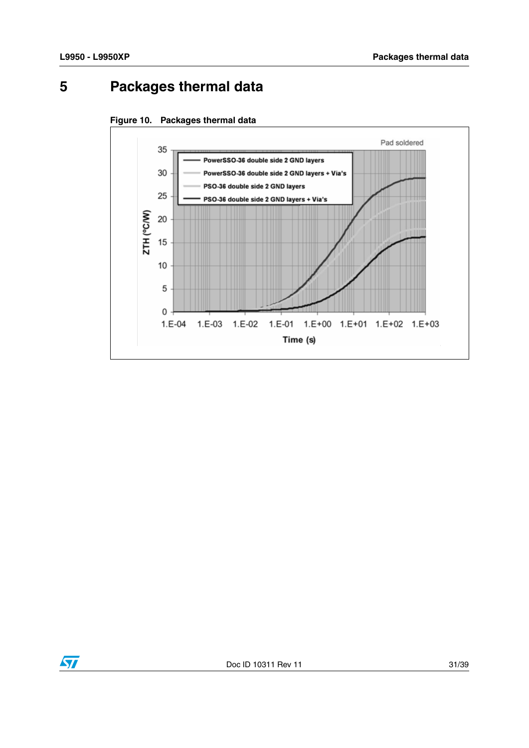# <span id="page-30-0"></span>**5 Packages thermal data**



<span id="page-30-1"></span>

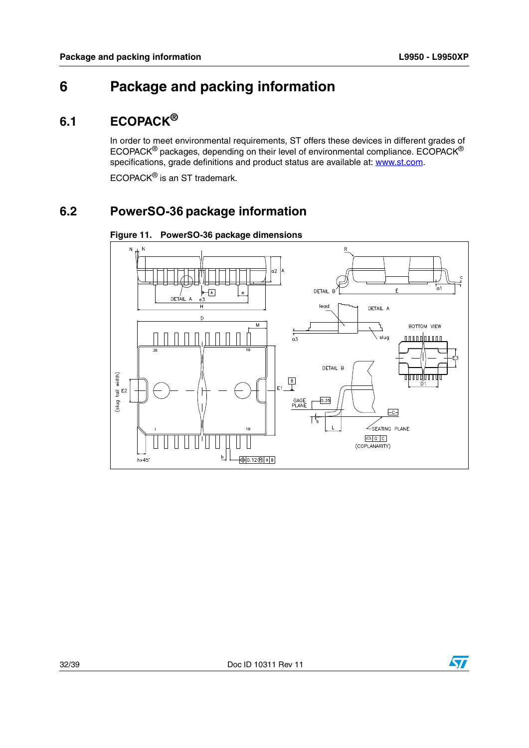# <span id="page-31-0"></span>**6 Package and packing information**

## <span id="page-31-1"></span>**6.1 ECOPACK®**

In order to meet environmental requirements, ST offers these devices in different grades of ECOPACK® packages, depending on their level of environmental compliance. ECOPACK® specifications, grade definitions and product status are available at: www.st.com.

ECOPACK® is an ST trademark.

## <span id="page-31-2"></span>**6.2 PowerSO-36 package information**



<span id="page-31-3"></span>**Figure 11. PowerSO-36 package dimensions**

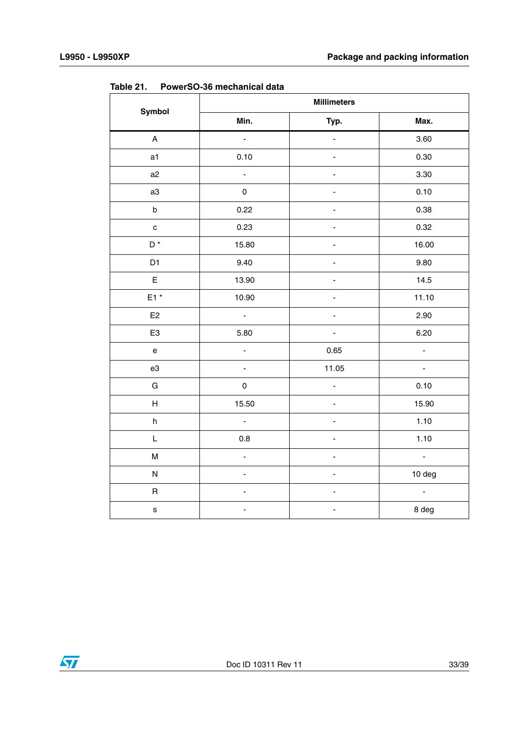|                                            | <b>Millimeters</b>  |                              |                           |  |  |  |  |
|--------------------------------------------|---------------------|------------------------------|---------------------------|--|--|--|--|
| <b>Symbol</b>                              | Min.                | Typ.                         | Max.                      |  |  |  |  |
| $\mathsf{A}$                               | $\mathbb{Z}^2$      | ÷.                           | 3.60                      |  |  |  |  |
| a1                                         | 0.10                |                              | 0.30                      |  |  |  |  |
| a2                                         | ÷,                  | $\qquad \qquad \blacksquare$ | 3.30                      |  |  |  |  |
| a3                                         | $\mathsf{O}\xspace$ |                              | 0.10                      |  |  |  |  |
| $\sf b$                                    | 0.22                |                              | 0.38                      |  |  |  |  |
| $\mathbf c$                                | 0.23                |                              | 0.32                      |  |  |  |  |
| $\mathsf{D}^{\,\star}$                     | 15.80               |                              | 16.00                     |  |  |  |  |
| D <sub>1</sub>                             | 9.40                |                              | 9.80                      |  |  |  |  |
| E                                          | 13.90               |                              | 14.5                      |  |  |  |  |
| $E1*$                                      | 10.90               |                              | 11.10                     |  |  |  |  |
| E2                                         | $\omega$            |                              | 2.90                      |  |  |  |  |
| E <sub>3</sub>                             | 5.80                | ÷,                           | 6.20                      |  |  |  |  |
| $\mathsf{e}% _{t}\left( \mathsf{e}\right)$ | $\blacksquare$      | 0.65                         | $\overline{\phantom{a}}$  |  |  |  |  |
| e3                                         | $\blacksquare$      | 11.05                        | $\blacksquare$            |  |  |  |  |
| G                                          | $\mathsf{O}\xspace$ | $\overline{a}$               | 0.10                      |  |  |  |  |
| H                                          | 15.50               |                              | 15.90                     |  |  |  |  |
| h                                          | ä,                  |                              | 1.10                      |  |  |  |  |
| L                                          | $0.8\,$             |                              | 1.10                      |  |  |  |  |
| M                                          | $\overline{a}$      | ÷,                           | $\mathbb{Z}^{\mathbb{Z}}$ |  |  |  |  |
| ${\sf N}$                                  |                     |                              | 10 deg                    |  |  |  |  |
| $\mathsf R$                                |                     |                              | $\Box$                    |  |  |  |  |
| $\mathbf s$                                |                     |                              | 8 deg                     |  |  |  |  |

<span id="page-32-0"></span>**Table 21. PowerSO-36 mechanical data**

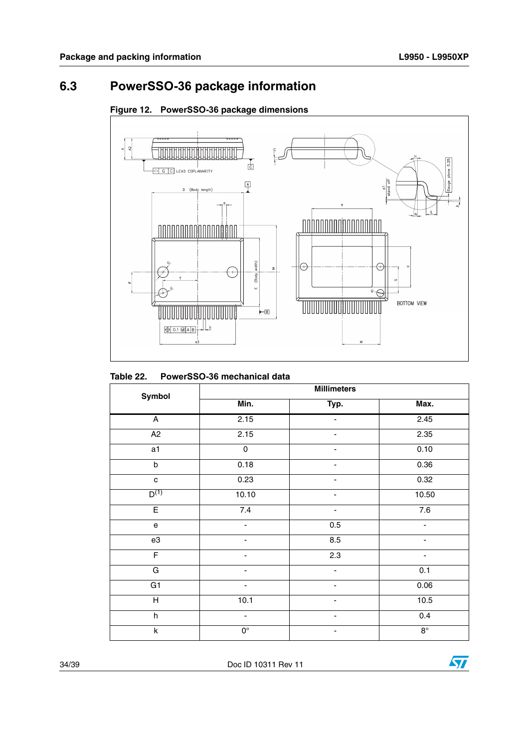## <span id="page-33-0"></span>**6.3 PowerSSO-36 package information**



#### <span id="page-33-2"></span>**Figure 12. PowerSSO-36 package dimensions**

<span id="page-33-1"></span>

| Table 22. | PowerSSO-36 mechanical data |
|-----------|-----------------------------|
|           |                             |

| Symbol                    | <b>Millimeters</b>           |                |                  |  |  |  |  |
|---------------------------|------------------------------|----------------|------------------|--|--|--|--|
|                           | Min.                         | Typ.           | Max.             |  |  |  |  |
| $\overline{A}$            | 2.15                         |                | 2.45             |  |  |  |  |
| A <sub>2</sub>            | 2.15                         |                | 2.35             |  |  |  |  |
| a1                        | $\pmb{0}$                    |                | 0.10             |  |  |  |  |
| $\sf b$                   | 0.18                         | ۰              | 0.36             |  |  |  |  |
| ${\bf c}$                 | 0.23                         | -              | 0.32             |  |  |  |  |
| $D^{(1)}$                 | 10.10                        |                | 10.50            |  |  |  |  |
| $\overline{E}$            | 7.4                          |                | $\overline{7.6}$ |  |  |  |  |
| e                         | -                            | $0.5\,$        |                  |  |  |  |  |
| e3                        |                              | 8.5            |                  |  |  |  |  |
| $\overline{F}$            | $\qquad \qquad \blacksquare$ | 2.3            | -                |  |  |  |  |
| G                         | $\overline{\phantom{0}}$     |                | 0.1              |  |  |  |  |
| $\overline{G1}$           |                              |                | 0.06             |  |  |  |  |
| $\overline{H}$            | 10.1                         |                | $\frac{10.5}{ }$ |  |  |  |  |
| $\boldsymbol{\mathsf{h}}$ | $\overline{\phantom{0}}$     | $\overline{a}$ | $0.4\,$          |  |  |  |  |
| $\overline{\mathsf{k}}$   | $0^{\circ}$                  |                | $8^{\circ}$      |  |  |  |  |

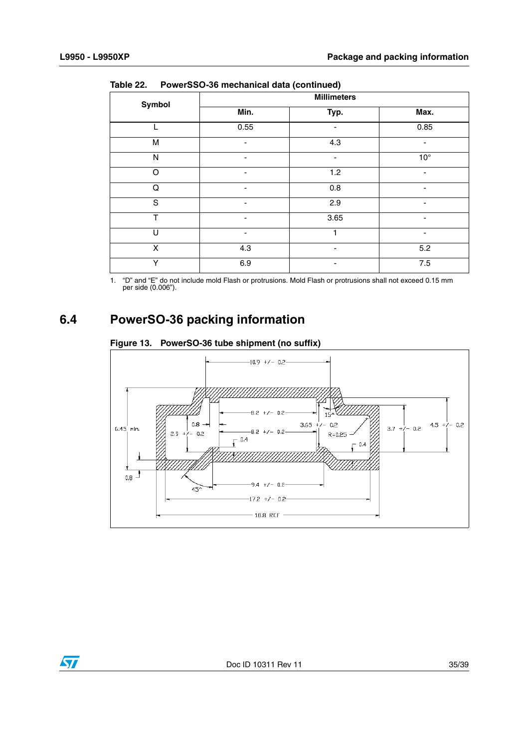|              |                          | <u>amoar aana (sommasa)</u> |                          |  |  |  |  |
|--------------|--------------------------|-----------------------------|--------------------------|--|--|--|--|
| Symbol       | <b>Millimeters</b>       |                             |                          |  |  |  |  |
|              | Min.                     | Typ.                        | Max.                     |  |  |  |  |
| L            | 0.55                     | ٠                           | 0.85                     |  |  |  |  |
| M            | ٠                        | 4.3                         | $\overline{\phantom{a}}$ |  |  |  |  |
| $\mathsf{N}$ | $\overline{\phantom{a}}$ | -                           | $10^{\circ}$             |  |  |  |  |
| $\Omega$     |                          | 1.2                         |                          |  |  |  |  |
| Q            |                          | 0.8                         |                          |  |  |  |  |
| S            | ۰                        | 2.9                         |                          |  |  |  |  |
| T            | ۰                        | 3.65                        | ٠                        |  |  |  |  |
| $\cup$       | -                        |                             | ٠                        |  |  |  |  |
| X            | 4.3                      | $\overline{\phantom{0}}$    | 5.2                      |  |  |  |  |
| Υ            | 6.9                      |                             | 7.5                      |  |  |  |  |

**Table 22. PowerSSO-36 mechanical data (continued)**

1. "D" and "E" do not include mold Flash or protrusions. Mold Flash or protrusions shall not exceed 0.15 mm per side (0.006").

## <span id="page-34-0"></span>**6.4 PowerSO-36 packing information**

#### <span id="page-34-1"></span>**Figure 13. PowerSO-36 tube shipment (no suffix)**



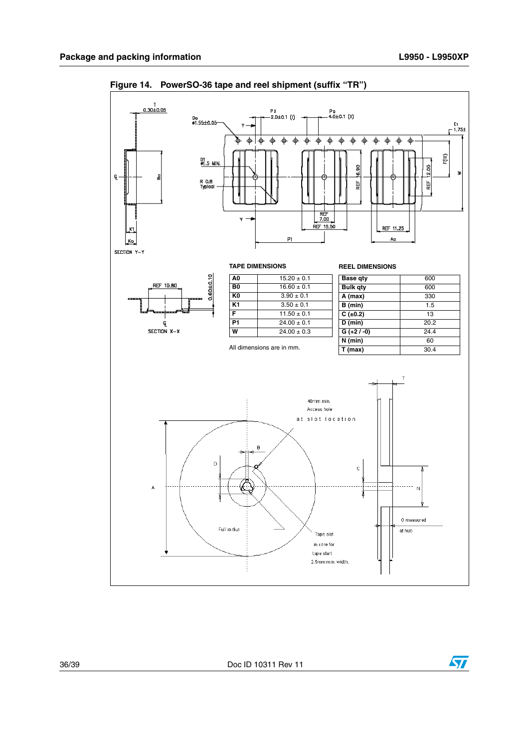

<span id="page-35-0"></span>**Figure 14. PowerSO-36 tape and reel shipment (suffix "TR")**

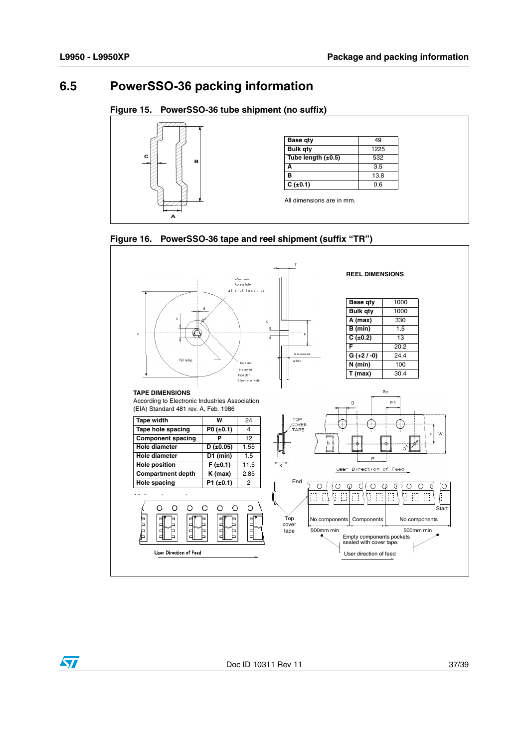#### <span id="page-36-0"></span>**6.5 PowerSSO-36 packing information**

#### <span id="page-36-1"></span>**Figure 15. PowerSSO-36 tube shipment (no suffix)**



<span id="page-36-2"></span>



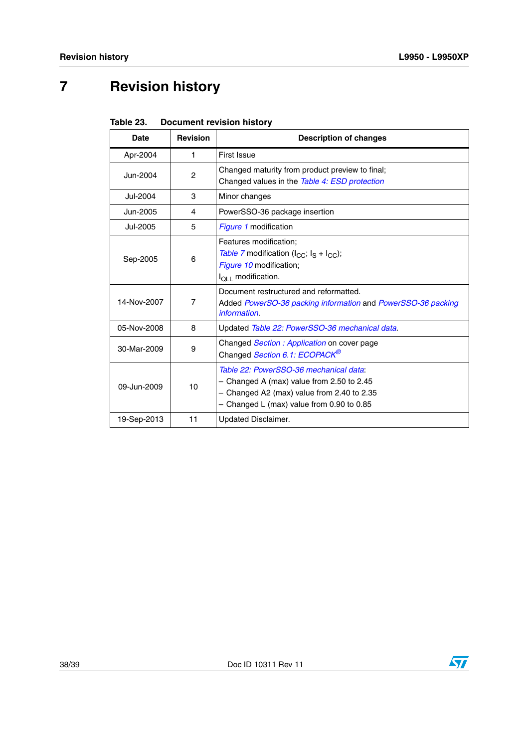# <span id="page-37-0"></span>**7 Revision history**

<span id="page-37-1"></span>

| Table 23. | <b>Document revision history</b> |
|-----------|----------------------------------|
|-----------|----------------------------------|

| <b>Date</b> | <b>Revision</b> | <b>Description of changes</b>                                                                                                                                                      |
|-------------|-----------------|------------------------------------------------------------------------------------------------------------------------------------------------------------------------------------|
| Apr-2004    | 1.              | <b>First Issue</b>                                                                                                                                                                 |
| Jun-2004    | 2               | Changed maturity from product preview to final;<br>Changed values in the Table 4: ESD protection                                                                                   |
| Jul-2004    | 3               | Minor changes                                                                                                                                                                      |
| Jun-2005    | 4               | PowerSSO-36 package insertion                                                                                                                                                      |
| Jul-2005    | 5               | Figure 1 modification                                                                                                                                                              |
| Sep-2005    | 6               | Features modification:<br>Table 7 modification $(I_{CC}; I_S + I_{CC});$<br>Figure 10 modification;<br>$I_{\Omega I}$ modification.                                                |
| 14-Nov-2007 | 7               | Document restructured and reformatted.<br>Added PowerSO-36 packing information and PowerSSO-36 packing<br>information.                                                             |
| 05-Nov-2008 | 8               | Updated Table 22: PowerSSO-36 mechanical data.                                                                                                                                     |
| 30-Mar-2009 | 9               | Changed <i>Section: Application</i> on cover page<br>Changed Section 6.1: ECOPACK <sup>®</sup>                                                                                     |
| 09-Jun-2009 | 10              | Table 22: PowerSSO-36 mechanical data:<br>$-$ Changed A (max) value from 2.50 to 2.45<br>- Changed A2 (max) value from 2.40 to 2.35<br>$-$ Changed L (max) value from 0.90 to 0.85 |
| 19-Sep-2013 | 11              | Updated Disclaimer.                                                                                                                                                                |